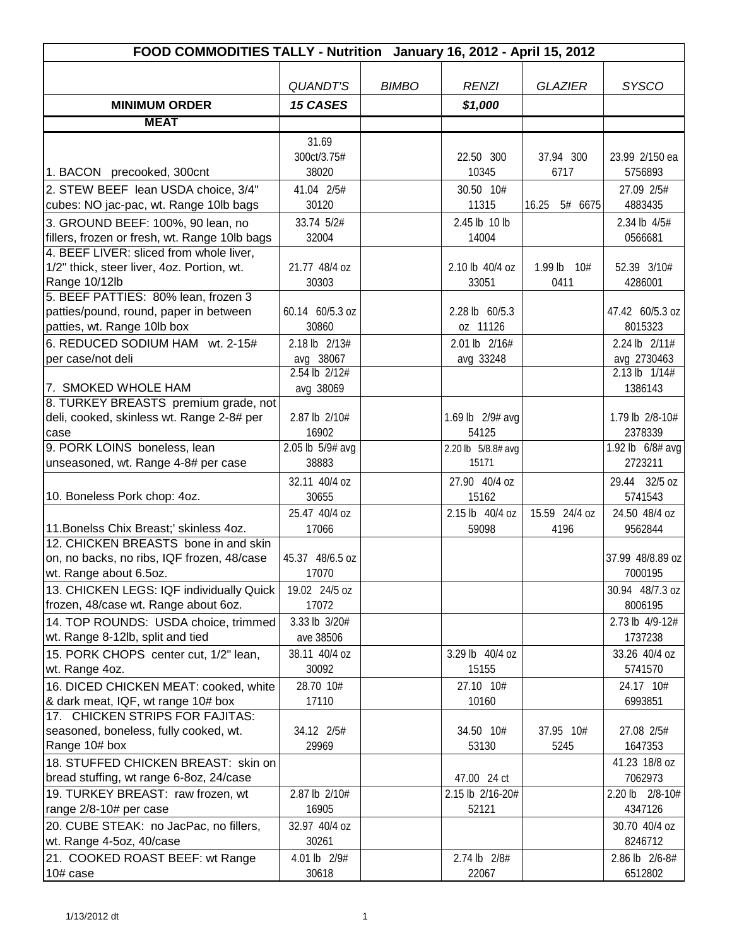| FOOD COMMODITIES TALLY - Nutrition January 16, 2012 - April 15, 2012            |                  |              |                    |                  |                            |  |
|---------------------------------------------------------------------------------|------------------|--------------|--------------------|------------------|----------------------------|--|
|                                                                                 |                  |              |                    |                  |                            |  |
|                                                                                 | <b>QUANDT'S</b>  | <b>BIMBO</b> | <b>RENZI</b>       | <b>GLAZIER</b>   | <b>SYSCO</b>               |  |
| <b>MINIMUM ORDER</b>                                                            | <b>15 CASES</b>  |              | \$1,000            |                  |                            |  |
| <b>MEAT</b>                                                                     |                  |              |                    |                  |                            |  |
|                                                                                 | 31.69            |              |                    |                  |                            |  |
|                                                                                 | 300ct/3.75#      |              | 22.50 300          | 37.94 300        | 23.99 2/150 ea             |  |
| 1. BACON precooked, 300cnt                                                      | 38020            |              | 10345              | 6717             | 5756893                    |  |
| 2. STEW BEEF lean USDA choice, 3/4"                                             | 41.04 2/5#       |              | 30.50 10#          |                  | 27.09 2/5#                 |  |
| cubes: NO jac-pac, wt. Range 10lb bags                                          | 30120            |              | 11315              | 16.25<br>5# 6675 | 4883435                    |  |
| 3. GROUND BEEF: 100%, 90 lean, no                                               | 33.74 5/2#       |              | 2.45 lb 10 lb      |                  | 2.34 lb 4/5#               |  |
| fillers, frozen or fresh, wt. Range 10lb bags                                   | 32004            |              | 14004              |                  | 0566681                    |  |
| 4. BEEF LIVER: sliced from whole liver,                                         |                  |              |                    |                  |                            |  |
| 1/2" thick, steer liver, 4oz. Portion, wt.                                      | 21.77 48/4 oz    |              | 2.10 lb 40/4 oz    | 1.99 lb $10#$    | 52.39 3/10#                |  |
| Range 10/12lb<br>5. BEEF PATTIES: 80% lean, frozen 3                            | 30303            |              | 33051              | 0411             | 4286001                    |  |
| patties/pound, round, paper in between                                          | 60.14 60/5.3 oz  |              | 2.28 lb 60/5.3     |                  | 47.42 60/5.3 oz            |  |
| patties, wt. Range 10lb box                                                     | 30860            |              | oz 11126           |                  | 8015323                    |  |
| 6. REDUCED SODIUM HAM wt. 2-15#                                                 | 2.18 lb 2/13#    |              | 2.01 lb 2/16#      |                  | 2.24 lb 2/11#              |  |
| per case/not deli                                                               | avg 38067        |              | avg 33248          |                  | avg 2730463                |  |
|                                                                                 | 2.54 lb 2/12#    |              |                    |                  | $2.13 \text{ lb}$ $1/14\#$ |  |
| 7. SMOKED WHOLE HAM                                                             | avg 38069        |              |                    |                  | 1386143                    |  |
| 8. TURKEY BREASTS premium grade, not                                            |                  |              |                    |                  |                            |  |
| deli, cooked, skinless wt. Range 2-8# per                                       | 2.87 lb 2/10#    |              | 1.69 lb 2/9# avg   |                  | 1.79 lb 2/8-10#            |  |
| case                                                                            | 16902            |              | 54125              |                  | 2378339                    |  |
| 9. PORK LOINS boneless, lean                                                    | 2.05 lb 5/9# avg |              | 2.20 lb 5/8.8# avg |                  | 1.92 lb 6/8# avg           |  |
| unseasoned, wt. Range 4-8# per case                                             | 38883            |              | 15171              |                  | 2723211                    |  |
|                                                                                 | 32.11 40/4 oz    |              | 27.90 40/4 oz      |                  | 29.44 32/5 oz              |  |
| 10. Boneless Pork chop: 4oz.                                                    | 30655            |              | 15162              |                  | 5741543                    |  |
|                                                                                 | 25.47 40/4 oz    |              | 2.15 lb 40/4 oz    | 15.59 24/4 oz    | 24.50 48/4 oz              |  |
| 11. Bonelss Chix Breast;' skinless 4oz.<br>12. CHICKEN BREASTS bone in and skin | 17066            |              | 59098              | 4196             | 9562844                    |  |
| on, no backs, no ribs, IQF frozen, 48/case                                      | 45.37 48/6.5 oz  |              |                    |                  | 37.99 48/8.89 oz           |  |
| wt. Range about 6.5oz.                                                          | 17070            |              |                    |                  | 7000195                    |  |
| 13. CHICKEN LEGS: IQF individually Quick                                        | 19.02 24/5 oz    |              |                    |                  | 30.94 48/7.3 oz            |  |
| frozen, 48/case wt. Range about 6oz.                                            | 17072            |              |                    |                  | 8006195                    |  |
| 14. TOP ROUNDS: USDA choice, trimmed                                            | 3.33 lb 3/20#    |              |                    |                  | 2.73 lb 4/9-12#            |  |
| wt. Range 8-12lb, split and tied                                                | ave 38506        |              |                    |                  | 1737238                    |  |
| 15. PORK CHOPS center cut, 1/2" lean,                                           | 38.11 40/4 oz    |              | 3.29 lb 40/4 oz    |                  | 33.26 40/4 oz              |  |
| wt. Range 4oz.                                                                  | 30092            |              | 15155              |                  | 5741570                    |  |
| 16. DICED CHICKEN MEAT: cooked, white                                           | 28.70 10#        |              | 27.10 10#          |                  | 24.17 10#                  |  |
| & dark meat, IQF, wt range 10# box                                              | 17110            |              | 10160              |                  | 6993851                    |  |
| 17. CHICKEN STRIPS FOR FAJITAS:                                                 |                  |              |                    |                  |                            |  |
| seasoned, boneless, fully cooked, wt.                                           | 34.12 2/5#       |              | 34.50 10#          | 37.95 10#        | 27.08 2/5#                 |  |
| Range 10# box                                                                   | 29969            |              | 53130              | 5245             | 1647353                    |  |
| 18. STUFFED CHICKEN BREAST: skin on                                             |                  |              |                    |                  | 41.23 18/8 oz              |  |
| bread stuffing, wt range 6-8oz, 24/case                                         |                  |              | 47.00 24 ct        |                  | 7062973                    |  |
| 19. TURKEY BREAST: raw frozen, wt                                               | 2.87 lb 2/10#    |              | 2.15 lb 2/16-20#   |                  | 2.20 lb 2/8-10#            |  |
| range 2/8-10# per case                                                          | 16905            |              | 52121              |                  | 4347126                    |  |
| 20. CUBE STEAK: no JacPac, no fillers,                                          | 32.97 40/4 oz    |              |                    |                  | 30.70 40/4 oz              |  |
| wt. Range 4-5oz, 40/case                                                        | 30261            |              |                    |                  | 8246712                    |  |
| 21. COOKED ROAST BEEF: wt Range                                                 | 4.01 lb 2/9#     |              | 2.74 lb 2/8#       |                  | 2.86 lb 2/6-8#             |  |
| 10# case                                                                        | 30618            |              | 22067              |                  | 6512802                    |  |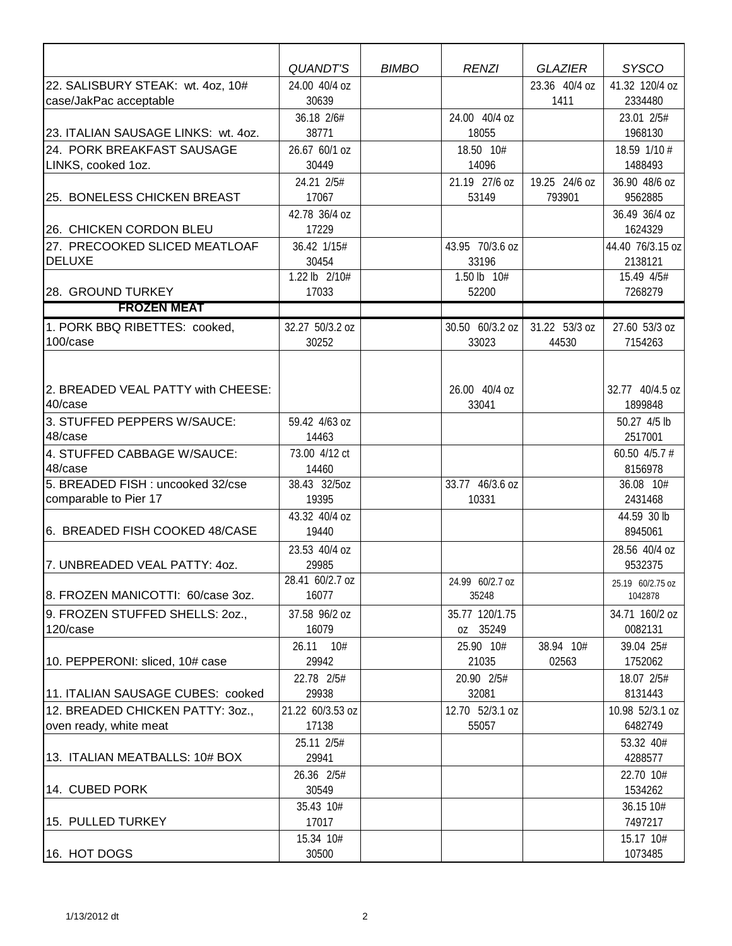|                                                             | <b>QUANDT'S</b>                   | <b>BIMBO</b> | <b>RENZI</b>               | <b>GLAZIER</b>          | <b>SYSCO</b>                      |
|-------------------------------------------------------------|-----------------------------------|--------------|----------------------------|-------------------------|-----------------------------------|
| 22. SALISBURY STEAK: wt. 4oz, 10#<br>case/JakPac acceptable | 24.00 40/4 oz<br>30639            |              |                            | 23.36 40/4 oz<br>1411   | 41.32 120/4 oz<br>2334480         |
| 23. ITALIAN SAUSAGE LINKS: wt. 4oz.                         | 36.18 2/6#<br>38771               |              | 24.00 40/4 oz<br>18055     |                         | 23.01 2/5#<br>1968130             |
| 24. PORK BREAKFAST SAUSAGE                                  | 26.67 60/1 oz                     |              | 18.50 10#                  |                         | 18.59 1/10 #                      |
| LINKS, cooked 1oz.                                          | 30449                             |              | 14096                      |                         | 1488493                           |
| 25. BONELESS CHICKEN BREAST                                 | 24.21 2/5#<br>17067               |              | 21.19 27/6 oz<br>53149     | 19.25 24/6 oz<br>793901 | 36.90 48/6 oz<br>9562885          |
| 26. CHICKEN CORDON BLEU                                     | 42.78 36/4 oz<br>17229            |              |                            |                         | 36.49 36/4 oz<br>1624329          |
| 27. PRECOOKED SLICED MEATLOAF<br><b>DELUXE</b>              | 36.42 1/15#<br>30454              |              | 43.95 70/3.6 oz<br>33196   |                         | 44.40 76/3.15 oz<br>2138121       |
| 28. GROUND TURKEY                                           | 1.22 lb 2/10#<br>17033            |              | 1.50 lb 10#<br>52200       |                         | 15.49 4/5#<br>7268279             |
| <b>FROZEN MEAT</b>                                          |                                   |              |                            |                         |                                   |
| 1. PORK BBQ RIBETTES: cooked,<br>100/case                   | 32.27 50/3.2 oz<br>30252          |              | 30.50 60/3.2 oz<br>33023   | 31.22 53/3 oz<br>44530  | 27.60 53/3 oz<br>7154263          |
| 2. BREADED VEAL PATTY with CHEESE:<br>40/case               |                                   |              | 26.00 40/4 oz<br>33041     |                         | 32.77 40/4.5 oz<br>1899848        |
| 3. STUFFED PEPPERS W/SAUCE:<br>48/case                      | 59.42 4/63 oz<br>14463            |              |                            |                         | 50.27 4/5 lb<br>2517001           |
| 4. STUFFED CABBAGE W/SAUCE:<br>48/case                      | 73.00 4/12 ct<br>14460            |              |                            |                         | 60.50 4/5.7 #<br>8156978          |
| 5. BREADED FISH : uncooked 32/cse                           | 38.43 32/5oz                      |              | 33.77 46/3.6 oz            |                         | 36.08 10#                         |
| comparable to Pier 17                                       | 19395<br>43.32 40/4 oz            |              | 10331                      |                         | 2431468<br>44.59 30 lb            |
| 6. BREADED FISH COOKED 48/CASE                              | 19440<br>23.53 40/4 oz            |              |                            |                         | 8945061<br>28.56 40/4 oz          |
| 7. UNBREADED VEAL PATTY: 40Z.                               | 29985<br>28.41 60/2.7 oz          |              | 24.99 60/2.7 oz            |                         | 9532375<br>25.19 60/2.75 oz       |
| 8. FROZEN MANICOTTI: 60/case 3oz.                           | 16077                             |              | 35248                      |                         | 1042878                           |
| 9. FROZEN STUFFED SHELLS: 20Z.,<br>120/case                 | 37.58 96/2 oz<br>16079            |              | 35.77 120/1.75<br>oz 35249 |                         | 34.71 160/2 oz<br>0082131         |
| 10. PEPPERONI: sliced, 10# case                             | 26.11 10#<br>29942                |              | 25.90 10#<br>21035         | 38.94 10#<br>02563      | 39.04 25#<br>1752062              |
| 11. ITALIAN SAUSAGE CUBES: cooked                           | 22.78 2/5#<br>29938               |              | 20.90 2/5#<br>32081        |                         | 18.07 2/5#<br>8131443             |
| 12. BREADED CHICKEN PATTY: 30Z.,<br>oven ready, white meat  | 21.22 60/3.53 oz<br>17138         |              | 12.70 52/3.1 oz<br>55057   |                         | 10.98 52/3.1 oz<br>6482749        |
| 13. ITALIAN MEATBALLS: 10# BOX                              | 25.11 2/5#<br>29941<br>26.36 2/5# |              |                            |                         | 53.32 40#<br>4288577<br>22.70 10# |
| 14. CUBED PORK                                              | 30549                             |              |                            |                         | 1534262                           |
| 15. PULLED TURKEY                                           | 35.43 10#<br>17017                |              |                            |                         | 36.15 10#<br>7497217              |
| 16. HOT DOGS                                                | 15.34 10#<br>30500                |              |                            |                         | 15.17 10#<br>1073485              |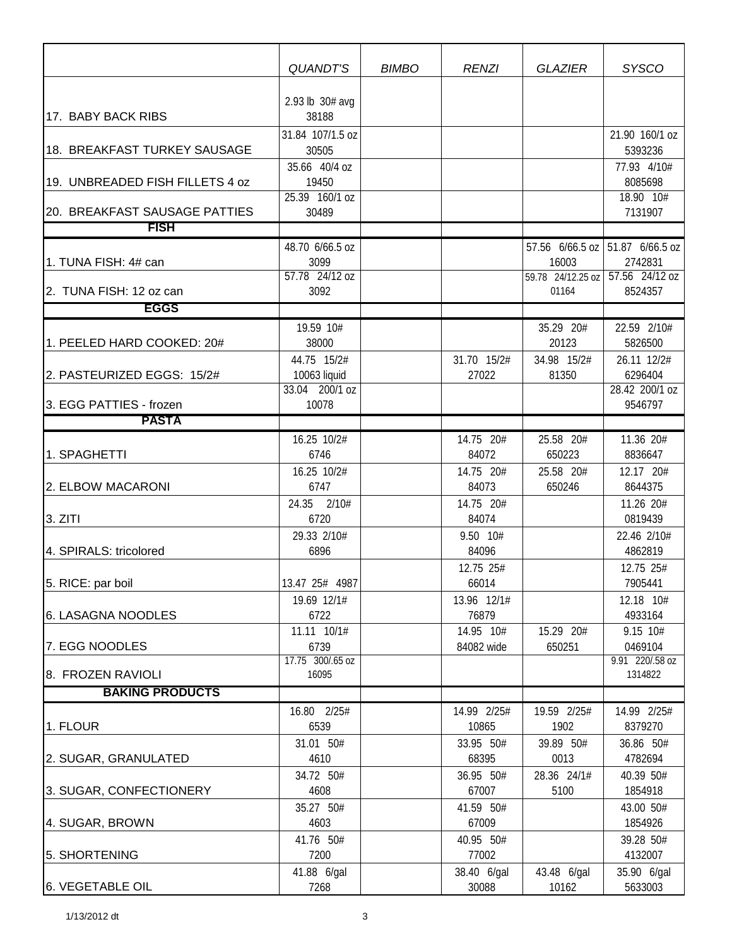|                                 | QUANDT'S                 | <b>BIMBO</b> | <b>RENZI</b>         | <b>GLAZIER</b>             | <b>SYSCO</b>              |
|---------------------------------|--------------------------|--------------|----------------------|----------------------------|---------------------------|
|                                 |                          |              |                      |                            |                           |
| 17. BABY BACK RIBS              | 2.93 lb 30# avg<br>38188 |              |                      |                            |                           |
|                                 | 31.84 107/1.5 oz         |              |                      |                            | 21.90 160/1 oz            |
| 18. BREAKFAST TURKEY SAUSAGE    | 30505                    |              |                      |                            | 5393236                   |
|                                 | 35.66 40/4 oz            |              |                      |                            | 77.93 4/10#               |
| 19. UNBREADED FISH FILLETS 4 oz | 19450<br>25.39 160/1 oz  |              |                      |                            | 8085698<br>18.90 10#      |
| 20. BREAKFAST SAUSAGE PATTIES   | 30489                    |              |                      |                            | 7131907                   |
| <b>FISH</b>                     |                          |              |                      |                            |                           |
|                                 | 48.70 6/66.5 oz          |              |                      | 57.56 6/66.5 oz            | 51.87 6/66.5 oz           |
| 1. TUNA FISH: 4# can            | 3099<br>57.78 24/12 oz   |              |                      | 16003                      | 2742831<br>57.56 24/12 oz |
| 2. TUNA FISH: 12 oz can         | 3092                     |              |                      | 59.78 24/12.25 oz<br>01164 | 8524357                   |
| EGGS                            |                          |              |                      |                            |                           |
|                                 | 19.59 10#                |              |                      | 35.29 20#                  | 22.59 2/10#               |
| 1. PEELED HARD COOKED: 20#      | 38000                    |              |                      | 20123                      | 5826500                   |
|                                 | 44.75 15/2#              |              | 31.70 15/2#          | 34.98 15/2#                | 26.11 12/2#               |
| 2. PASTEURIZED EGGS: 15/2#      | 10063 liquid             |              | 27022                | 81350                      | 6296404                   |
| 3. EGG PATTIES - frozen         | 33.04 200/1 oz<br>10078  |              |                      |                            | 28.42 200/1 oz<br>9546797 |
| <b>PASTA</b>                    |                          |              |                      |                            |                           |
|                                 | 16.25 10/2#              |              | 14.75 20#            | 25.58 20#                  | 11.36 20#                 |
| 1. SPAGHETTI                    | 6746                     |              | 84072                | 650223                     | 8836647                   |
|                                 | 16.25 10/2#              |              | 14.75 20#            | 25.58 20#                  | 12.17 20#                 |
| 2. ELBOW MACARONI               | 6747                     |              | 84073                | 650246                     | 8644375                   |
| 3. ZITI                         | 24.35 2/10#<br>6720      |              | 14.75 20#<br>84074   |                            | 11.26 20#<br>0819439      |
|                                 | 29.33 2/10#              |              | 9.50 10#             |                            | 22.46 2/10#               |
| 4. SPIRALS: tricolored          | 6896                     |              | 84096                |                            | 4862819                   |
|                                 |                          |              | 12.75 25#            |                            | 12.75 25#                 |
| 5. RICE: par boil               | 13.47 25# 4987           |              | 66014                |                            | 7905441                   |
|                                 | 19.69 12/1#              |              | 13.96 12/1#          |                            | 12.18 10#                 |
| 6. LASAGNA NOODLES              | 6722<br>11.11 10/1#      |              | 76879<br>14.95 10#   | 15.29 20#                  | 4933164<br>9.15 10#       |
| 7. EGG NOODLES                  | 6739                     |              | 84082 wide           | 650251                     | 0469104                   |
|                                 | 17.75 300/.65 oz         |              |                      |                            | 9.91 220/.58 oz           |
| 8. FROZEN RAVIOLI               | 16095                    |              |                      |                            | 1314822                   |
| <b>BAKING PRODUCTS</b>          |                          |              |                      |                            |                           |
| 1. FLOUR                        | 16.80 2/25#<br>6539      |              | 14.99 2/25#<br>10865 | 19.59 2/25#<br>1902        | 14.99 2/25#<br>8379270    |
|                                 | 31.01 50#                |              | 33.95 50#            | 39.89 50#                  | 36.86 50#                 |
| 2. SUGAR, GRANULATED            | 4610                     |              | 68395                | 0013                       | 4782694                   |
|                                 | 34.72 50#                |              | 36.95 50#            | 28.36 24/1#                | 40.39 50#                 |
| 3. SUGAR, CONFECTIONERY         | 4608                     |              | 67007                | 5100                       | 1854918                   |
|                                 | 35.27 50#<br>4603        |              | 41.59 50#<br>67009   |                            | 43.00 50#<br>1854926      |
| 4. SUGAR, BROWN                 | 41.76 50#                |              | 40.95 50#            |                            | 39.28 50#                 |
| 5. SHORTENING                   | 7200                     |              | 77002                |                            | 4132007                   |
|                                 | 41.88 6/gal              |              | 38.40 6/gal          | 43.48 6/gal                | 35.90 6/gal               |
| 6. VEGETABLE OIL                | 7268                     |              | 30088                | 10162                      | 5633003                   |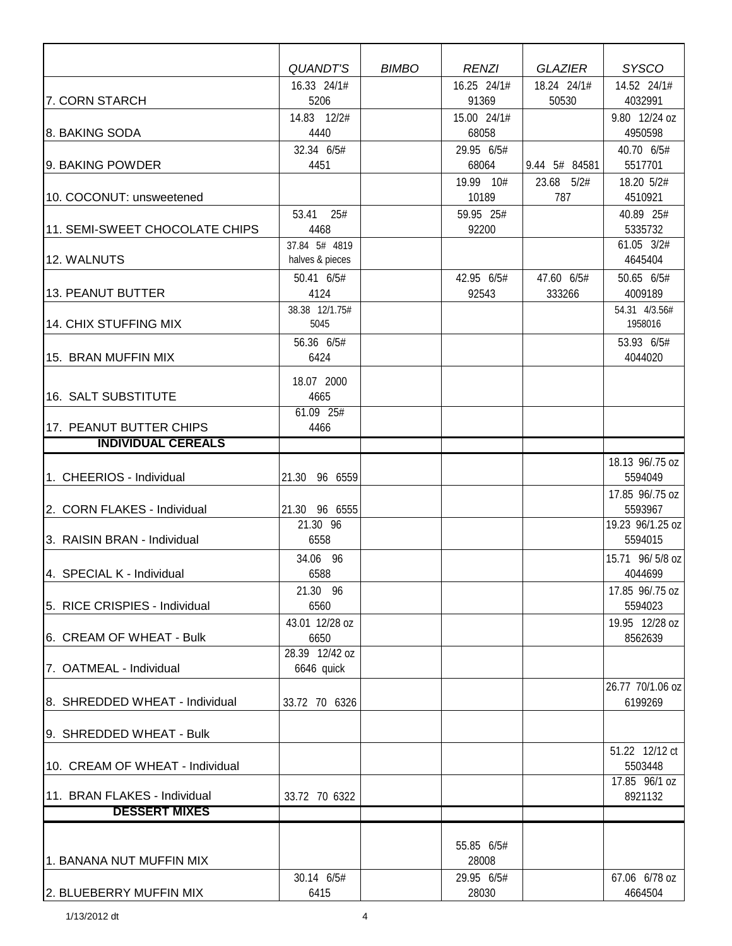|                                                      | <b>QUANDT'S</b>        | <b>BIMBO</b> | <b>RENZI</b>         | <b>GLAZIER</b> | <b>SYSCO</b>               |
|------------------------------------------------------|------------------------|--------------|----------------------|----------------|----------------------------|
|                                                      | 16.33 24/1#            |              | 16.25 24/1#          | 18.24 24/1#    | 14.52 24/1#                |
| 7. CORN STARCH                                       | 5206                   |              | 91369                | 50530          | 4032991                    |
| 8. BAKING SODA                                       | 14.83 12/2#<br>4440    |              | 15.00 24/1#<br>68058 |                | 9.80 12/24 oz<br>4950598   |
|                                                      | 32.34 6/5#             |              | 29.95 6/5#           |                | 40.70 6/5#                 |
| 9. BAKING POWDER                                     | 4451                   |              | 68064                | 9.44 5# 84581  | 5517701                    |
|                                                      |                        |              | 19.99 10#            | 23.68 5/2#     | 18.20 5/2#                 |
| 10. COCONUT: unsweetened                             |                        |              | 10189                | 787            | 4510921                    |
|                                                      | 25#<br>53.41           |              | 59.95 25#            |                | 40.89 25#                  |
| 11. SEMI-SWEET CHOCOLATE CHIPS                       | 4468                   |              | 92200                |                | 5335732                    |
|                                                      | 37.84 5# 4819          |              |                      |                | 61.05 3/2#                 |
| 12. WALNUTS                                          | halves & pieces        |              |                      |                | 4645404                    |
|                                                      | 50.41 6/5#             |              | 42.95 6/5#           | 47.60 6/5#     | 50.65 6/5#                 |
| 13. PEANUT BUTTER                                    | 4124                   |              | 92543                | 333266         | 4009189                    |
|                                                      | 38.38 12/1.75#         |              |                      |                | 54.31 4/3.56#              |
| 14. CHIX STUFFING MIX                                | 5045                   |              |                      |                | 1958016                    |
|                                                      | 56.36 6/5#             |              |                      |                | 53.93 6/5#                 |
| 15. BRAN MUFFIN MIX                                  | 6424                   |              |                      |                | 4044020                    |
|                                                      | 18.07 2000             |              |                      |                |                            |
| 16. SALT SUBSTITUTE                                  | 4665                   |              |                      |                |                            |
|                                                      | 61.09 25#              |              |                      |                |                            |
| 17. PEANUT BUTTER CHIPS<br><b>INDIVIDUAL CEREALS</b> | 4466                   |              |                      |                |                            |
|                                                      |                        |              |                      |                |                            |
| 1. CHEERIOS - Individual                             | 21.30<br>96 6559       |              |                      |                | 18.13 96/.75 oz<br>5594049 |
|                                                      |                        |              |                      |                | 17.85 96/.75 oz            |
| 2. CORN FLAKES - Individual                          | 21.30 96 6555          |              |                      |                | 5593967                    |
|                                                      | 21.30 96               |              |                      |                | 19.23 96/1.25 oz           |
| 3. RAISIN BRAN - Individual                          | 6558                   |              |                      |                | 5594015                    |
|                                                      | 34.06 96               |              |                      |                | 15.71 96/5/8 oz            |
| 4. SPECIAL K - Individual                            | 6588                   |              |                      |                | 4044699                    |
|                                                      | 21.30 96               |              |                      |                | 17.85 96/.75 oz            |
| 5. RICE CRISPIES - Individual                        | 6560                   |              |                      |                | 5594023                    |
|                                                      | 43.01 12/28 oz         |              |                      |                | 19.95 12/28 oz             |
| 6. CREAM OF WHEAT - Bulk                             | 6650<br>28.39 12/42 oz |              |                      |                | 8562639                    |
| 7. OATMEAL - Individual                              | 6646 quick             |              |                      |                |                            |
|                                                      |                        |              |                      |                | 26.77 70/1.06 oz           |
| 8. SHREDDED WHEAT - Individual                       | 33.72 70 6326          |              |                      |                | 6199269                    |
|                                                      |                        |              |                      |                |                            |
| 9. SHREDDED WHEAT - Bulk                             |                        |              |                      |                |                            |
|                                                      |                        |              |                      |                | 51.22 12/12 ct             |
| 10. CREAM OF WHEAT - Individual                      |                        |              |                      |                | 5503448                    |
|                                                      |                        |              |                      |                | 17.85 96/1 oz              |
| 11. BRAN FLAKES - Individual                         | 33.72 70 6322          |              |                      |                | 8921132                    |
| <b>DESSERT MIXES</b>                                 |                        |              |                      |                |                            |
|                                                      |                        |              |                      |                |                            |
| 1. BANANA NUT MUFFIN MIX                             |                        |              | 55.85 6/5#<br>28008  |                |                            |
|                                                      | 30.14 6/5#             |              | 29.95 6/5#           |                | 67.06 6/78 oz              |
| 2. BLUEBERRY MUFFIN MIX                              | 6415                   |              | 28030                |                | 4664504                    |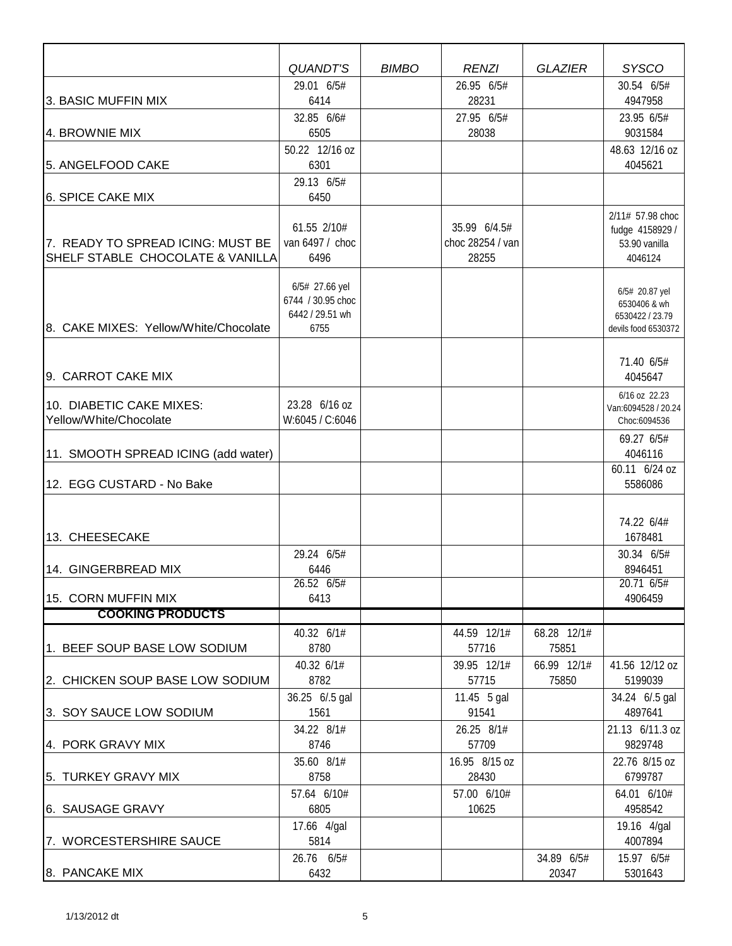|                                       | <b>QUANDT'S</b><br>29.01 6/5#       | <b>BIMBO</b> | <b>RENZI</b><br>26.95 6/5# | <b>GLAZIER</b> | <b>SYSCO</b><br>30.54 6/5#          |
|---------------------------------------|-------------------------------------|--------------|----------------------------|----------------|-------------------------------------|
| 3. BASIC MUFFIN MIX                   | 6414                                |              | 28231                      |                | 4947958                             |
|                                       | 32.85 6/6#                          |              | 27.95 6/5#                 |                | 23.95 6/5#                          |
| 4. BROWNIE MIX                        | 6505                                |              | 28038                      |                | 9031584                             |
|                                       | 50.22 12/16 oz                      |              |                            |                | 48.63 12/16 oz                      |
| 5. ANGELFOOD CAKE                     | 6301                                |              |                            |                | 4045621                             |
|                                       | 29.13 6/5#                          |              |                            |                |                                     |
| 6. SPICE CAKE MIX                     | 6450                                |              |                            |                |                                     |
|                                       | 61.55 2/10#                         |              | 35.99 6/4.5#               |                | 2/11# 57.98 choc                    |
| 7. READY TO SPREAD ICING: MUST BE     | van 6497 / choc                     |              | choc 28254 / van           |                | fudge 4158929 /<br>53.90 vanilla    |
| SHELF STABLE CHOCOLATE & VANILLA      | 6496                                |              | 28255                      |                | 4046124                             |
|                                       |                                     |              |                            |                |                                     |
|                                       | 6/5# 27.66 yel<br>6744 / 30.95 choc |              |                            |                | 6/5# 20.87 yel                      |
|                                       | 6442 / 29.51 wh                     |              |                            |                | 6530406 & wh<br>6530422 / 23.79     |
| 8. CAKE MIXES: Yellow/White/Chocolate | 6755                                |              |                            |                | devils food 6530372                 |
|                                       |                                     |              |                            |                |                                     |
|                                       |                                     |              |                            |                | 71.40 6/5#                          |
| 9. CARROT CAKE MIX                    |                                     |              |                            |                | 4045647                             |
| 10. DIABETIC CAKE MIXES:              | 23.28 6/16 oz                       |              |                            |                | 6/16 oz 22.23                       |
| Yellow/White/Chocolate                | W:6045 / C:6046                     |              |                            |                | Van:6094528 / 20.24<br>Choc:6094536 |
|                                       |                                     |              |                            |                | 69.27 6/5#                          |
| 11. SMOOTH SPREAD ICING (add water)   |                                     |              |                            |                | 4046116                             |
|                                       |                                     |              |                            |                | 60.11 6/24 oz                       |
| 12. EGG CUSTARD - No Bake             |                                     |              |                            |                | 5586086                             |
|                                       |                                     |              |                            |                |                                     |
|                                       |                                     |              |                            |                | 74.22 6/4#                          |
| 13. CHEESECAKE                        |                                     |              |                            |                | 1678481                             |
|                                       | 29.24 6/5#                          |              |                            |                | 30.34 6/5#                          |
| 14. GINGERBREAD MIX                   | 6446<br>26.52 6/5#                  |              |                            |                | 8946451<br>20.71 6/5#               |
| 15. CORN MUFFIN MIX                   | 6413                                |              |                            |                | 4906459                             |
| <b>COOKING PRODUCTS</b>               |                                     |              |                            |                |                                     |
|                                       | 40.32 6/1#                          |              | 44.59 12/1#                | 68.28 12/1#    |                                     |
| 1. BEEF SOUP BASE LOW SODIUM          | 8780                                |              | 57716                      | 75851          |                                     |
|                                       | 40.32 6/1#                          |              | 39.95 12/1#                | 66.99 12/1#    | 41.56 12/12 oz                      |
| 2. CHICKEN SOUP BASE LOW SODIUM       | 8782                                |              | 57715                      | 75850          | 5199039                             |
|                                       | 36.25 6/.5 gal                      |              | 11.45 5 gal                |                | 34.24 6/.5 gal                      |
| 3. SOY SAUCE LOW SODIUM               | 1561                                |              | 91541<br>26.25 8/1#        |                | 4897641                             |
| 4. PORK GRAVY MIX                     | 34.22 8/1#<br>8746                  |              | 57709                      |                | 21.13 6/11.3 oz<br>9829748          |
|                                       | 35.60 8/1#                          |              | 16.95 8/15 oz              |                | 22.76 8/15 oz                       |
| 5. TURKEY GRAVY MIX                   | 8758                                |              | 28430                      |                | 6799787                             |
|                                       | 57.64 6/10#                         |              | 57.00 6/10#                |                | 64.01 6/10#                         |
| 6. SAUSAGE GRAVY                      | 6805                                |              | 10625                      |                | 4958542                             |
|                                       | 17.66 4/gal                         |              |                            |                | 19.16 4/gal                         |
| 7. WORCESTERSHIRE SAUCE               | 5814                                |              |                            |                | 4007894                             |
|                                       | 26.76 6/5#                          |              |                            | 34.89 6/5#     | 15.97 6/5#                          |
| 8. PANCAKE MIX                        | 6432                                |              |                            | 20347          | 5301643                             |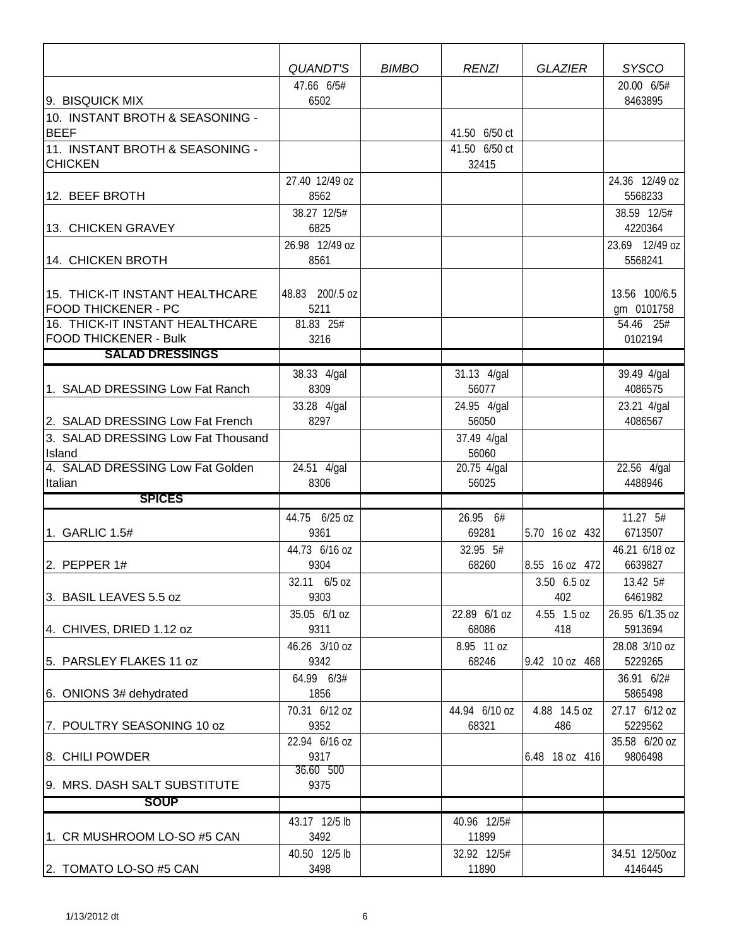|                                                               | <b>QUANDT'S</b>       | <b>BIMBO</b> | <b>RENZI</b>         | <b>GLAZIER</b> | <b>SYSCO</b>             |
|---------------------------------------------------------------|-----------------------|--------------|----------------------|----------------|--------------------------|
|                                                               | 47.66 6/5#            |              |                      |                | 20.00 6/5#               |
| 9. BISQUICK MIX                                               | 6502                  |              |                      |                | 8463895                  |
| 10. INSTANT BROTH & SEASONING -<br><b>BEEF</b>                |                       |              | 41.50 6/50 ct        |                |                          |
| 11. INSTANT BROTH & SEASONING -                               |                       |              | 41.50 6/50 ct        |                |                          |
| <b>CHICKEN</b>                                                |                       |              | 32415                |                |                          |
|                                                               | 27.40 12/49 oz        |              |                      |                | 24.36 12/49 oz           |
| 12. BEEF BROTH                                                | 8562                  |              |                      |                | 5568233                  |
|                                                               | 38.27 12/5#           |              |                      |                | 38.59 12/5#              |
| 13. CHICKEN GRAVEY                                            | 6825                  |              |                      |                | 4220364                  |
|                                                               | 26.98 12/49 oz        |              |                      |                | 23.69 12/49 oz           |
| 14. CHICKEN BROTH                                             | 8561                  |              |                      |                | 5568241                  |
|                                                               |                       |              |                      |                |                          |
| 15. THICK-IT INSTANT HEALTHCARE                               | 48.83 200/.5 oz       |              |                      |                | 13.56 100/6.5            |
| <b>FOOD THICKENER - PC</b><br>16. THICK-IT INSTANT HEALTHCARE | 5211<br>81.83 25#     |              |                      |                | gm 0101758               |
| <b>FOOD THICKENER - Bulk</b>                                  | 3216                  |              |                      |                | 54.46 25#<br>0102194     |
| <b>SALAD DRESSINGS</b>                                        |                       |              |                      |                |                          |
|                                                               |                       |              |                      |                |                          |
| 1. SALAD DRESSING Low Fat Ranch                               | 38.33 4/gal<br>8309   |              | 31.13 4/gal<br>56077 |                | 39.49 4/gal<br>4086575   |
|                                                               | 33.28 4/gal           |              | 24.95 4/gal          |                | 23.21 4/gal              |
| 2. SALAD DRESSING Low Fat French                              | 8297                  |              | 56050                |                | 4086567                  |
| 3. SALAD DRESSING Low Fat Thousand                            |                       |              | 37.49 4/gal          |                |                          |
| Island                                                        |                       |              | 56060                |                |                          |
| 4. SALAD DRESSING Low Fat Golden                              | 24.51 4/gal           |              | 20.75 4/gal          |                | 22.56 4/gal              |
| Italian                                                       | 8306                  |              | 56025                |                | 4488946                  |
| <b>SPICES</b>                                                 |                       |              |                      |                |                          |
|                                                               | 44.75 6/25 oz         |              | 26.95 6#             |                | 11.27 5#                 |
| 1. GARLIC 1.5#                                                | 9361                  |              | 69281                | 5.70 16 oz 432 | 6713507                  |
|                                                               | 44.73 6/16 oz         |              | 32.95 5#             |                | 46.21 6/18 oz            |
| 2. PEPPER 1#                                                  | 9304                  |              | 68260                | 8.55 16 oz 472 | 6639827                  |
|                                                               | 32.11 6/5 oz          |              |                      | 3.50 6.5 oz    | 13.42 5#                 |
| 3. BASIL LEAVES 5.5 oz                                        | 9303                  |              |                      | 402            | 6461982                  |
|                                                               | 35.05 6/1 oz          |              | 22.89 6/1 oz         | 4.55 1.5 oz    | 26.95 6/1.35 oz          |
| 4. CHIVES, DRIED 1.12 oz                                      | 9311                  |              | 68086                | 418            | 5913694                  |
| 5. PARSLEY FLAKES 11 oz                                       | 46.26 3/10 oz<br>9342 |              | 8.95 11 oz<br>68246  | 9.42 10 oz 468 | 28.08 3/10 oz<br>5229265 |
|                                                               | 64.99 6/3#            |              |                      |                | 36.91 6/2#               |
| 6. ONIONS 3# dehydrated                                       | 1856                  |              |                      |                | 5865498                  |
|                                                               | 70.31 6/12 oz         |              | 44.94 6/10 oz        | 4.88 14.5 oz   | 27.17 6/12 oz            |
| 7. POULTRY SEASONING 10 oz                                    | 9352                  |              | 68321                | 486            | 5229562                  |
|                                                               | 22.94 6/16 oz         |              |                      |                | 35.58 6/20 oz            |
| 8. CHILI POWDER                                               | 9317                  |              |                      | 6.48 18 oz 416 | 9806498                  |
|                                                               | 36.60 500             |              |                      |                |                          |
| I9. MRS. DASH SALT SUBSTITUTE                                 | 9375                  |              |                      |                |                          |
| <b>SOUP</b>                                                   |                       |              |                      |                |                          |
|                                                               | 43.17 12/5 lb         |              | 40.96 12/5#          |                |                          |
| 1. CR MUSHROOM LO-SO #5 CAN                                   | 3492                  |              | 11899                |                |                          |
|                                                               | 40.50 12/5 lb         |              | 32.92 12/5#          |                | 34.51 12/50oz            |
| 2. TOMATO LO-SO #5 CAN                                        | 3498                  |              | 11890                |                | 4146445                  |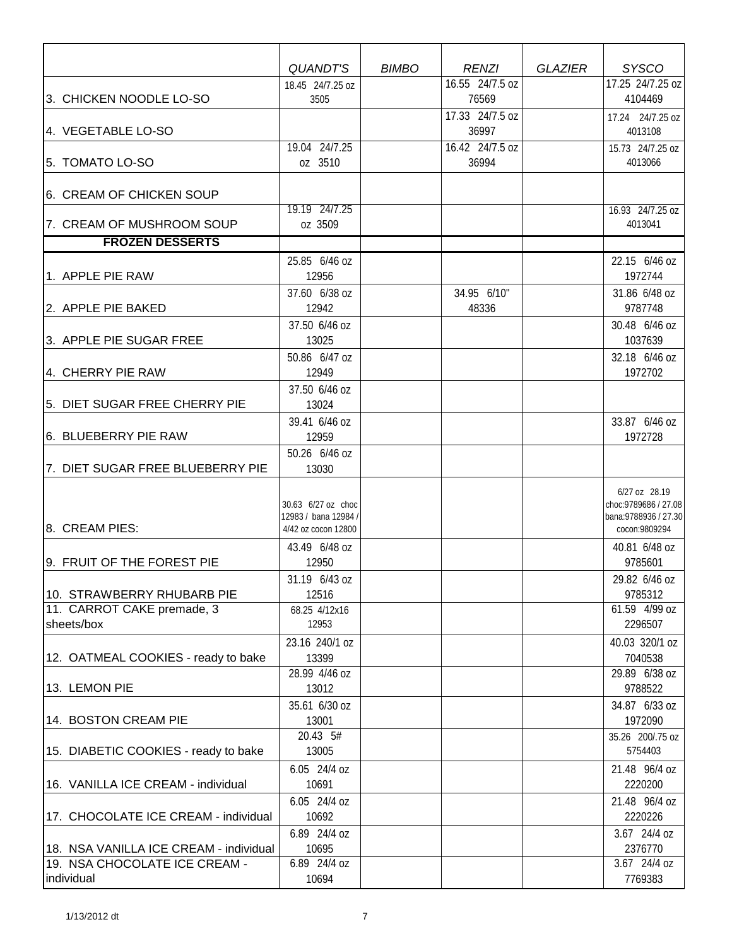|                                        | QUANDT'S                                   | <b>BIMBO</b> | <b>RENZI</b>    | <b>GLAZIER</b> | <b>SYSCO</b>                                   |
|----------------------------------------|--------------------------------------------|--------------|-----------------|----------------|------------------------------------------------|
|                                        | 18.45 24/7.25 oz                           |              | 16.55 24/7.5 oz |                | 17.25 24/7.25 oz                               |
| 3. CHICKEN NOODLE LO-SO                | 3505                                       |              | 76569           |                | 4104469                                        |
|                                        |                                            |              | 17.33 24/7.5 oz |                | 17.24 24/7.25 oz                               |
| 4. VEGETABLE LO-SO                     |                                            |              | 36997           |                | 4013108                                        |
|                                        | 19.04 24/7.25                              |              | 16.42 24/7.5 oz |                | 15.73 24/7.25 oz                               |
| 5. TOMATO LO-SO                        | oz 3510                                    |              | 36994           |                | 4013066                                        |
|                                        |                                            |              |                 |                |                                                |
| 6. CREAM OF CHICKEN SOUP               |                                            |              |                 |                |                                                |
| 7. CREAM OF MUSHROOM SOUP              | 19.19 24/7.25<br>oz 3509                   |              |                 |                | 16.93 24/7.25 oz<br>4013041                    |
| <b>FROZEN DESSERTS</b>                 |                                            |              |                 |                |                                                |
|                                        |                                            |              |                 |                |                                                |
| 1. APPLE PIE RAW                       | 25.85 6/46 oz<br>12956                     |              |                 |                | 22.15 6/46 oz<br>1972744                       |
|                                        | 37.60 6/38 oz                              |              | 34.95 6/10"     |                | 31.86 6/48 oz                                  |
| 2. APPLE PIE BAKED                     | 12942                                      |              | 48336           |                | 9787748                                        |
|                                        | 37.50 6/46 oz                              |              |                 |                | 30.48 6/46 oz                                  |
| 3. APPLE PIE SUGAR FREE                | 13025                                      |              |                 |                | 1037639                                        |
|                                        | 50.86 6/47 oz                              |              |                 |                | 32.18 6/46 oz                                  |
| 4. CHERRY PIE RAW                      | 12949                                      |              |                 |                | 1972702                                        |
|                                        | 37.50 6/46 oz                              |              |                 |                |                                                |
| 5. DIET SUGAR FREE CHERRY PIE          | 13024                                      |              |                 |                |                                                |
|                                        | 39.41 6/46 oz                              |              |                 |                | 33.87 6/46 oz                                  |
| 6. BLUEBERRY PIE RAW                   | 12959                                      |              |                 |                | 1972728                                        |
|                                        | 50.26 6/46 oz                              |              |                 |                |                                                |
| 7. DIET SUGAR FREE BLUEBERRY PIE       | 13030                                      |              |                 |                |                                                |
|                                        |                                            |              |                 |                | 6/27 oz 28.19                                  |
|                                        | 30.63 6/27 oz choc<br>12983 / bana 12984 / |              |                 |                | choc: 9789686 / 27.08<br>bana: 9788936 / 27.30 |
| 8. CREAM PIES:                         | 4/42 oz cocon 12800                        |              |                 |                | cocon:9809294                                  |
|                                        | 43.49 6/48 oz                              |              |                 |                | 40.81 6/48 oz                                  |
| 9. FRUIT OF THE FOREST PIE             | 12950                                      |              |                 |                | 9785601                                        |
|                                        | 31.19 6/43 oz                              |              |                 |                | 29.82 6/46 oz                                  |
| 10. STRAWBERRY RHUBARB PIE             | 12516                                      |              |                 |                | 9785312                                        |
| 11. CARROT CAKE premade, 3             | 68.25 4/12x16                              |              |                 |                | 61.59 4/99 oz                                  |
| sheets/box                             | 12953                                      |              |                 |                | 2296507                                        |
|                                        | 23.16 240/1 oz                             |              |                 |                | 40.03 320/1 oz                                 |
| 12. OATMEAL COOKIES - ready to bake    | 13399                                      |              |                 |                | 7040538                                        |
| 13. LEMON PIE                          | 28.99 4/46 oz<br>13012                     |              |                 |                | 29.89 6/38 oz<br>9788522                       |
|                                        | 35.61 6/30 oz                              |              |                 |                | 34.87 6/33 oz                                  |
| 14. BOSTON CREAM PIE                   | 13001                                      |              |                 |                | 1972090                                        |
|                                        | 20.43 5#                                   |              |                 |                | 35.26 200/.75 oz                               |
| 15. DIABETIC COOKIES - ready to bake   | 13005                                      |              |                 |                | 5754403                                        |
|                                        | 6.05 24/4 oz                               |              |                 |                | 21.48 96/4 oz                                  |
| 16. VANILLA ICE CREAM - individual     | 10691                                      |              |                 |                | 2220200                                        |
|                                        | 6.05 24/4 oz                               |              |                 |                | 21.48 96/4 oz                                  |
| 17. CHOCOLATE ICE CREAM - individual   | 10692                                      |              |                 |                | 2220226                                        |
|                                        | 6.89 24/4 oz                               |              |                 |                | 3.67 24/4 oz                                   |
| 18. NSA VANILLA ICE CREAM - individual | 10695                                      |              |                 |                | 2376770                                        |
| 19. NSA CHOCOLATE ICE CREAM -          | 6.89 24/4 oz<br>10694                      |              |                 |                | 3.67 24/4 oz<br>7769383                        |
| individual                             |                                            |              |                 |                |                                                |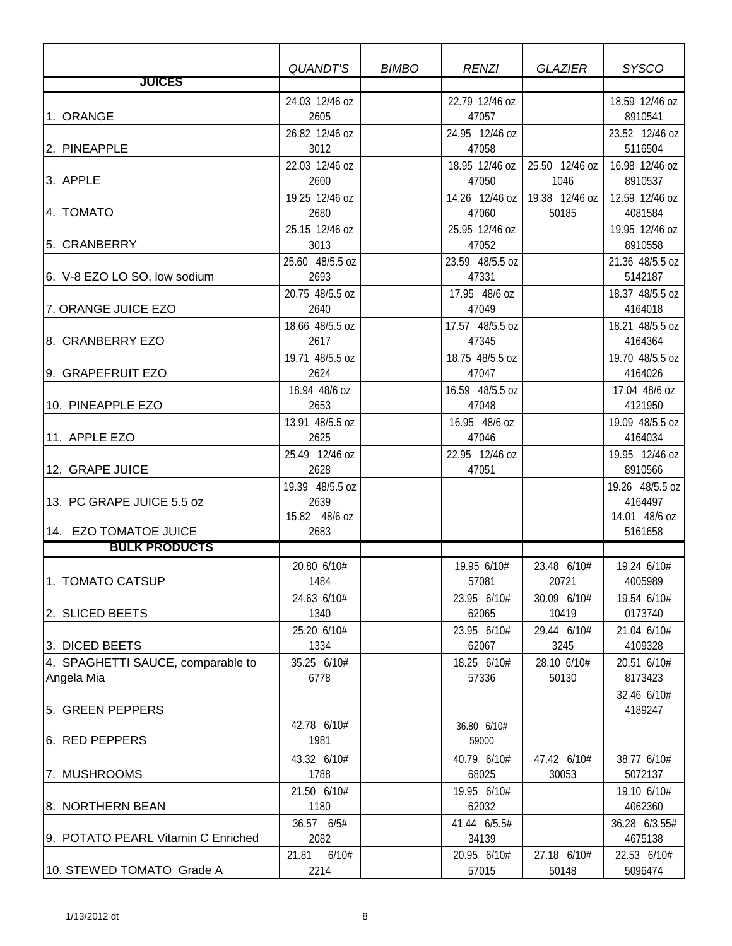|                                                     | QUANDT'S                             | <b>BIMBO</b> | <b>RENZI</b>                         | <b>GLAZIER</b>                     | <b>SYSCO</b>                            |
|-----------------------------------------------------|--------------------------------------|--------------|--------------------------------------|------------------------------------|-----------------------------------------|
| <b>JUICES</b>                                       |                                      |              |                                      |                                    |                                         |
| 1. ORANGE                                           | 24.03 12/46 oz<br>2605               |              | 22.79 12/46 oz<br>47057              |                                    | 18.59 12/46 oz<br>8910541               |
| 2. PINEAPPLE                                        | 26.82 12/46 oz<br>3012               |              | 24.95 12/46 oz<br>47058              |                                    | 23.52 12/46 oz<br>5116504               |
| 3. APPLE                                            | 22.03 12/46 oz<br>2600               |              | 18.95 12/46 oz<br>47050              | 25.50 12/46 oz<br>1046             | 16.98 12/46 oz<br>8910537               |
| 4. TOMATO                                           | 19.25 12/46 oz<br>2680               |              | 14.26 12/46 oz<br>47060              | 19.38 12/46 oz<br>50185            | 12.59 12/46 oz<br>4081584               |
| 5. CRANBERRY                                        | 25.15 12/46 oz<br>3013               |              | 25.95 12/46 oz<br>47052              |                                    | 19.95 12/46 oz<br>8910558               |
| 6. V-8 EZO LO SO, low sodium                        | 25.60 48/5.5 oz<br>2693              |              | 23.59 48/5.5 oz<br>47331             |                                    | 21.36 48/5.5 oz<br>5142187              |
| 7. ORANGE JUICE EZO                                 | 20.75 48/5.5 oz<br>2640              |              | 17.95 48/6 oz<br>47049               |                                    | 18.37 48/5.5 oz<br>4164018              |
| 8. CRANBERRY EZO                                    | 18.66 48/5.5 oz<br>2617              |              | 17.57 48/5.5 oz<br>47345             |                                    | 18.21 48/5.5 oz<br>4164364              |
| 9. GRAPEFRUIT EZO                                   | 19.71 48/5.5 oz<br>2624              |              | 18.75 48/5.5 oz<br>47047             |                                    | 19.70 48/5.5 oz<br>4164026              |
| 10. PINEAPPLE EZO                                   | 18.94 48/6 oz<br>2653                |              | 16.59 48/5.5 oz<br>47048             |                                    | 17.04 48/6 oz<br>4121950                |
| 11. APPLE EZO                                       | 13.91 48/5.5 oz<br>2625              |              | 16.95 48/6 oz<br>47046               |                                    | 19.09 48/5.5 oz<br>4164034              |
| 12. GRAPE JUICE                                     | 25.49 12/46 oz<br>2628               |              | 22.95 12/46 oz<br>47051              |                                    | 19.95 12/46 oz<br>8910566               |
| 13. PC GRAPE JUICE 5.5 oz                           | 19.39 48/5.5 oz<br>2639              |              |                                      |                                    | 19.26 48/5.5 oz<br>4164497              |
| 14. EZO TOMATOE JUICE                               | 15.82 48/6 oz<br>2683                |              |                                      |                                    | 14.01 48/6 oz<br>5161658                |
| <b>BULK PRODUCTS</b>                                |                                      |              |                                      |                                    |                                         |
| 1. TOMATO CATSUP                                    | 20.80 6/10#<br>1484                  |              | 19.95 6/10#<br>57081                 | 23.48 6/10#<br>20721               | 19.24 6/10#<br>4005989                  |
| 2. SLICED BEETS                                     | 24.63 6/10#<br>1340                  |              | 23.95 6/10#<br>62065                 | 30.09 6/10#<br>10419               | 19.54 6/10#<br>0173740                  |
| 3. DICED BEETS<br>4. SPAGHETTI SAUCE, comparable to | 25.20 6/10#<br>1334<br>35.25 6/10#   |              | 23.95 6/10#<br>62067<br>18.25 6/10#  | 29.44 6/10#<br>3245<br>28.10 6/10# | 21.04 6/10#<br>4109328<br>20.51 6/10#   |
| Angela Mia                                          | 6778                                 |              | 57336                                | 50130                              | 8173423<br>32.46 6/10#                  |
| 5. GREEN PEPPERS<br>6. RED PEPPERS                  | 42.78 6/10#<br>1981                  |              | 36.80 6/10#<br>59000                 |                                    | 4189247                                 |
| 7. MUSHROOMS                                        | 43.32 6/10#<br>1788                  |              | 40.79 6/10#<br>68025                 | 47.42 6/10#<br>30053               | 38.77 6/10#<br>5072137                  |
| 8. NORTHERN BEAN                                    | 21.50 6/10#<br>1180                  |              | 19.95 6/10#<br>62032                 |                                    | 19.10 6/10#<br>4062360                  |
| 9. POTATO PEARL Vitamin C Enriched                  | 36.57 6/5#<br>2082<br>6/10#<br>21.81 |              | 41.44 6/5.5#<br>34139<br>20.95 6/10# | 27.18 6/10#                        | 36.28 6/3.55#<br>4675138<br>22.53 6/10# |
| 10. STEWED TOMATO Grade A                           | 2214                                 |              | 57015                                | 50148                              | 5096474                                 |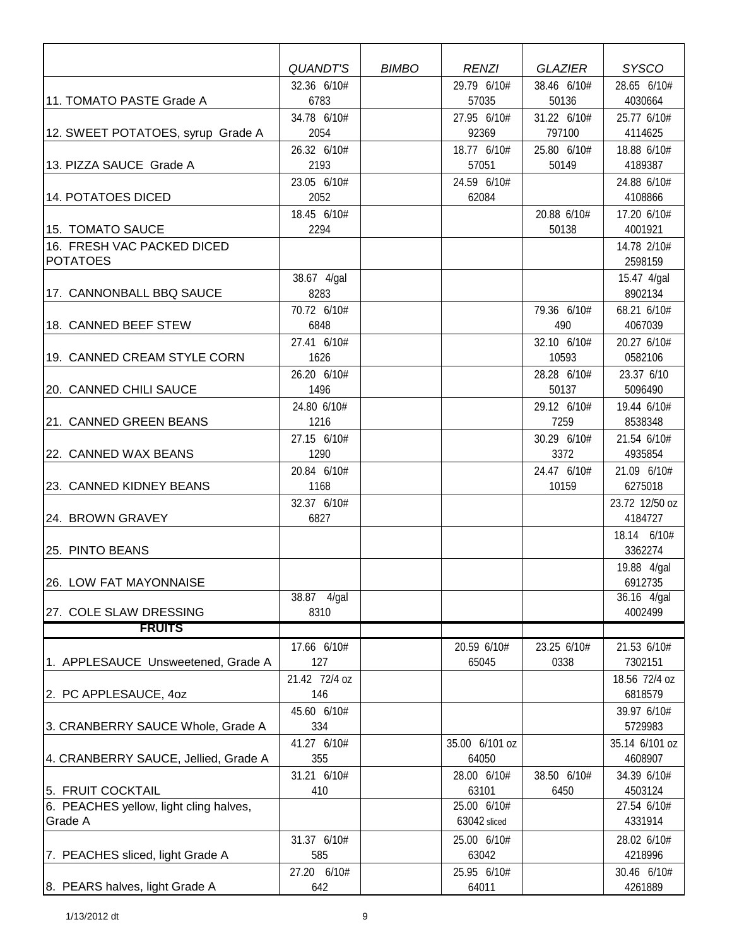|                                               | <b>QUANDT'S</b>     | <b>BIMBO</b> | <b>RENZI</b>         | <b>GLAZIER</b>       | <b>SYSCO</b>           |
|-----------------------------------------------|---------------------|--------------|----------------------|----------------------|------------------------|
| 11. TOMATO PASTE Grade A                      | 32.36 6/10#<br>6783 |              | 29.79 6/10#<br>57035 | 38.46 6/10#<br>50136 | 28.65 6/10#<br>4030664 |
|                                               | 34.78 6/10#         |              | 27.95 6/10#          | 31.22 6/10#          | 25.77 6/10#            |
| 12. SWEET POTATOES, syrup Grade A             | 2054                |              | 92369                | 797100               | 4114625                |
|                                               | 26.32 6/10#<br>2193 |              | 18.77 6/10#<br>57051 | 25.80 6/10#<br>50149 | 18.88 6/10#            |
| 13. PIZZA SAUCE Grade A                       | 23.05 6/10#         |              | 24.59 6/10#          |                      | 4189387<br>24.88 6/10# |
| 14. POTATOES DICED                            | 2052                |              | 62084                |                      | 4108866                |
|                                               | 18.45 6/10#         |              |                      | 20.88 6/10#          | 17.20 6/10#            |
| 15. TOMATO SAUCE                              | 2294                |              |                      | 50138                | 4001921                |
| 16. FRESH VAC PACKED DICED<br><b>POTATOES</b> |                     |              |                      |                      | 14.78 2/10#<br>2598159 |
|                                               | 38.67 4/gal         |              |                      |                      | 15.47 4/gal            |
| 17. CANNONBALL BBQ SAUCE                      | 8283                |              |                      |                      | 8902134                |
| 18. CANNED BEEF STEW                          | 70.72 6/10#<br>6848 |              |                      | 79.36 6/10#<br>490   | 68.21 6/10#<br>4067039 |
|                                               | 27.41 6/10#         |              |                      | 32.10 6/10#          | 20.27 6/10#            |
| 19. CANNED CREAM STYLE CORN                   | 1626                |              |                      | 10593                | 0582106                |
|                                               | 26.20 6/10#         |              |                      | 28.28 6/10#          | 23.37 6/10             |
| 20. CANNED CHILI SAUCE                        | 1496                |              |                      | 50137                | 5096490                |
|                                               | 24.80 6/10#         |              |                      | 29.12 6/10#          | 19.44 6/10#            |
| 21. CANNED GREEN BEANS                        | 1216<br>27.15 6/10# |              |                      | 7259<br>30.29 6/10#  | 8538348<br>21.54 6/10# |
| 22. CANNED WAX BEANS                          | 1290                |              |                      | 3372                 | 4935854                |
|                                               | 20.84 6/10#         |              |                      | 24.47 6/10#          | 21.09 6/10#            |
| 23. CANNED KIDNEY BEANS                       | 1168                |              |                      | 10159                | 6275018                |
|                                               | 32.37 6/10#         |              |                      |                      | 23.72 12/50 oz         |
| 24. BROWN GRAVEY                              | 6827                |              |                      |                      | 4184727                |
| 25. PINTO BEANS                               |                     |              |                      |                      | 18.14 6/10#<br>3362274 |
|                                               |                     |              |                      |                      | 19.88 4/gal            |
| 26. LOW FAT MAYONNAISE                        | 38.87 4/gal         |              |                      |                      | 6912735<br>36.16 4/gal |
| 27. COLE SLAW DRESSING                        | 8310                |              |                      |                      | 4002499                |
| <b>FRUITS</b>                                 |                     |              |                      |                      |                        |
|                                               | 17.66 6/10#         |              | 20.59 6/10#          | 23.25 6/10#          | 21.53 6/10#            |
| 1. APPLESAUCE Unsweetened, Grade A            | 127                 |              | 65045                | 0338                 | 7302151                |
|                                               | 21.42 72/4 oz       |              |                      |                      | 18.56 72/4 oz          |
| 2. PC APPLESAUCE, 40Z                         | 146                 |              |                      |                      | 6818579                |
| 3. CRANBERRY SAUCE Whole, Grade A             | 45.60 6/10#<br>334  |              |                      |                      | 39.97 6/10#<br>5729983 |
|                                               | 41.27 6/10#         |              | 35.00 6/101 oz       |                      | 35.14 6/101 oz         |
| 4. CRANBERRY SAUCE, Jellied, Grade A          | 355                 |              | 64050                |                      | 4608907                |
|                                               | 31.21 6/10#         |              | 28.00 6/10#          | 38.50 6/10#          | 34.39 6/10#            |
| 5. FRUIT COCKTAIL                             | 410                 |              | 63101                | 6450                 | 4503124                |
| 6. PEACHES yellow, light cling halves,        |                     |              | 25.00 6/10#          |                      | 27.54 6/10#            |
| Grade A                                       |                     |              | 63042 sliced         |                      | 4331914                |
| 7. PEACHES sliced, light Grade A              | 31.37 6/10#<br>585  |              | 25.00 6/10#<br>63042 |                      | 28.02 6/10#<br>4218996 |
|                                               | 27.20 6/10#         |              | 25.95 6/10#          |                      | 30.46 6/10#            |
| 8. PEARS halves, light Grade A                | 642                 |              | 64011                |                      | 4261889                |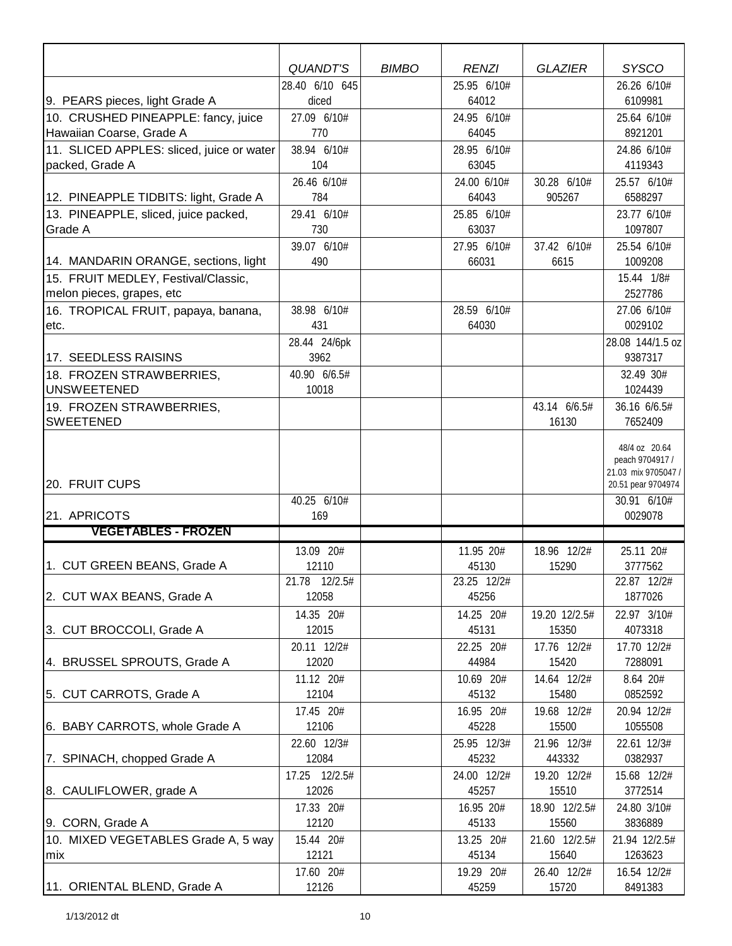|                                            | <b>QUANDT'S</b>         | <b>BIMBO</b> | <b>RENZI</b>         | <b>GLAZIER</b>         | <b>SYSCO</b>           |
|--------------------------------------------|-------------------------|--------------|----------------------|------------------------|------------------------|
| 9. PEARS pieces, light Grade A             | 28.40 6/10 645<br>diced |              | 25.95 6/10#<br>64012 |                        | 26.26 6/10#<br>6109981 |
| 10. CRUSHED PINEAPPLE: fancy, juice        | 27.09 6/10#             |              | 24.95 6/10#          |                        | 25.64 6/10#            |
| Hawaiian Coarse, Grade A                   | 770                     |              | 64045                |                        | 8921201                |
| 11. SLICED APPLES: sliced, juice or water  | 38.94 6/10#             |              | 28.95 6/10#          |                        | 24.86 6/10#            |
| packed, Grade A                            | 104                     |              | 63045                |                        | 4119343                |
|                                            | 26.46 6/10#             |              | 24.00 6/10#          | 30.28 6/10#            | 25.57 6/10#            |
| 12. PINEAPPLE TIDBITS: light, Grade A      | 784                     |              | 64043                | 905267                 | 6588297                |
| 13. PINEAPPLE, sliced, juice packed,       | 29.41 6/10#             |              | 25.85 6/10#          |                        | 23.77 6/10#            |
| Grade A                                    | 730                     |              | 63037                |                        | 1097807                |
|                                            | 39.07 6/10#             |              | 27.95 6/10#          | 37.42 6/10#            | 25.54 6/10#            |
| 14. MANDARIN ORANGE, sections, light       | 490                     |              | 66031                | 6615                   | 1009208                |
| 15. FRUIT MEDLEY, Festival/Classic,        |                         |              |                      |                        | 15.44 1/8#             |
| melon pieces, grapes, etc                  |                         |              |                      |                        | 2527786                |
| 16. TROPICAL FRUIT, papaya, banana,        | 38.98 6/10#             |              | 28.59 6/10#          |                        | 27.06 6/10#            |
| etc.                                       | 431                     |              | 64030                |                        | 0029102                |
|                                            | 28.44 24/6pk            |              |                      |                        | 28.08 144/1.5 oz       |
| 17. SEEDLESS RAISINS                       | 3962                    |              |                      |                        | 9387317                |
| 18. FROZEN STRAWBERRIES,                   | 40.90 6/6.5#            |              |                      |                        | 32.49 30#              |
| <b>UNSWEETENED</b>                         | 10018                   |              |                      |                        | 1024439                |
| 19. FROZEN STRAWBERRIES,                   |                         |              |                      | 43.14 6/6.5#           | 36.16 6/6.5#           |
| <b>SWEETENED</b>                           |                         |              |                      | 16130                  | 7652409                |
|                                            |                         |              |                      |                        | 48/4 oz 20.64          |
|                                            |                         |              |                      |                        | peach 9704917 /        |
|                                            |                         |              |                      |                        | 21.03 mix 9705047 /    |
| 20. FRUIT CUPS                             |                         |              |                      |                        | 20.51 pear 9704974     |
|                                            | 40.25 6/10#             |              |                      |                        | 30.91 6/10#            |
| 21. APRICOTS<br><b>VEGETABLES - FROZEN</b> | 169                     |              |                      |                        | 0029078                |
|                                            |                         |              |                      |                        |                        |
|                                            | 13.09 20#               |              | 11.95 20#            | 18.96 12/2#            | 25.11 20#              |
| 1. CUT GREEN BEANS, Grade A                | 12110<br>21.78 12/2.5#  |              | 45130<br>23.25 12/2# | 15290                  | 3777562<br>22.87 12/2# |
| 2. CUT WAX BEANS, Grade A                  | 12058                   |              | 45256                |                        | 1877026                |
|                                            |                         |              |                      |                        |                        |
|                                            | 14.35 20#<br>12015      |              | 14.25 20#            | 19.20 12/2.5#<br>15350 | 22.97 3/10#            |
| 3. CUT BROCCOLI, Grade A                   |                         |              | 45131                |                        | 4073318                |
| 4. BRUSSEL SPROUTS, Grade A                | 20.11 12/2#<br>12020    |              | 22.25 20#<br>44984   | 17.76 12/2#<br>15420   | 17.70 12/2#<br>7288091 |
|                                            | 11.12 20#               |              | 10.69 20#            | 14.64 12/2#            | 8.64 20#               |
| 5. CUT CARROTS, Grade A                    | 12104                   |              | 45132                | 15480                  | 0852592                |
|                                            | 17.45 20#               |              | 16.95 20#            | 19.68 12/2#            | 20.94 12/2#            |
| 6. BABY CARROTS, whole Grade A             | 12106                   |              | 45228                | 15500                  | 1055508                |
|                                            | 22.60 12/3#             |              | 25.95 12/3#          | 21.96 12/3#            | 22.61 12/3#            |
| 7. SPINACH, chopped Grade A                | 12084                   |              | 45232                | 443332                 | 0382937                |
|                                            | 17.25 12/2.5#           |              | 24.00 12/2#          | 19.20 12/2#            | 15.68 12/2#            |
| 8. CAULIFLOWER, grade A                    | 12026                   |              | 45257                | 15510                  | 3772514                |
|                                            | 17.33 20#               |              | 16.95 20#            | 18.90 12/2.5#          | 24.80 3/10#            |
| 9. CORN, Grade A                           | 12120                   |              | 45133                | 15560                  | 3836889                |
| 10. MIXED VEGETABLES Grade A, 5 way        | 15.44 20#               |              | 13.25 20#            | 21.60 12/2.5#          | 21.94 12/2.5#          |
| mix                                        | 12121                   |              | 45134                | 15640                  | 1263623                |
|                                            | 17.60 20#               |              | 19.29 20#            | 26.40 12/2#            | 16.54 12/2#            |
| 11. ORIENTAL BLEND, Grade A                | 12126                   |              | 45259                | 15720                  | 8491383                |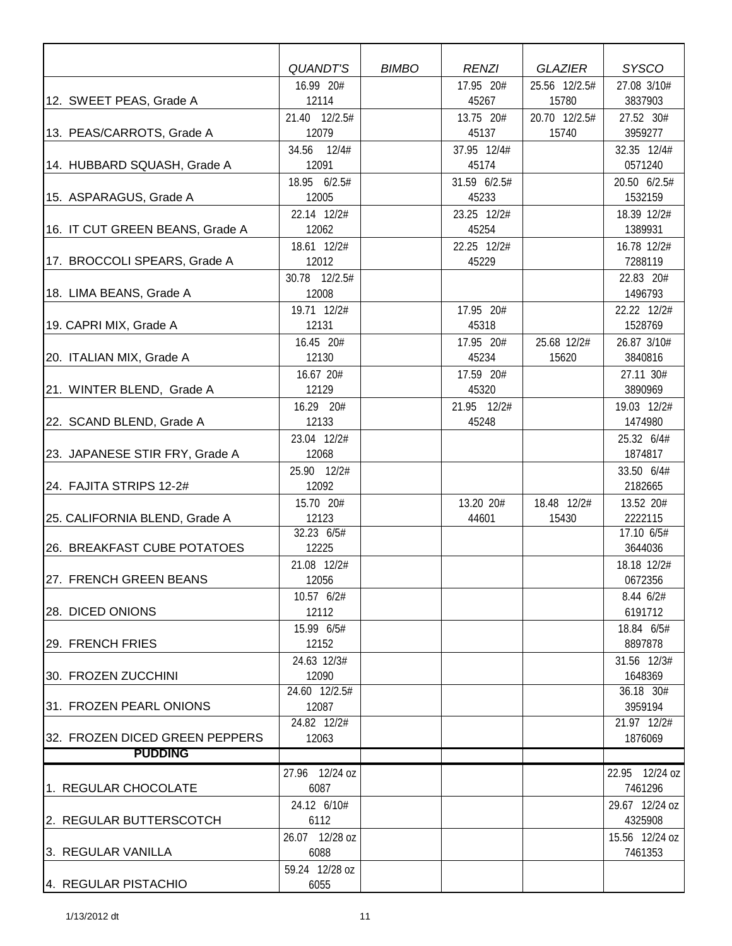|                                 | QUANDT'S       | <b>BIMBO</b> | <b>RENZI</b> | <b>GLAZIER</b> | <b>SYSCO</b>       |
|---------------------------------|----------------|--------------|--------------|----------------|--------------------|
|                                 | 16.99 20#      |              | 17.95 20#    | 25.56 12/2.5#  | 27.08 3/10#        |
| 12. SWEET PEAS, Grade A         | 12114          |              | 45267        | 15780          | 3837903            |
|                                 | 21.40 12/2.5#  |              | 13.75 20#    | 20.70 12/2.5#  | 27.52 30#          |
| 13. PEAS/CARROTS, Grade A       | 12079          |              | 45137        | 15740          | 3959277            |
|                                 | 34.56 12/4#    |              | 37.95 12/4#  |                | 32.35 12/4#        |
| 14. HUBBARD SQUASH, Grade A     | 12091          |              | 45174        |                | 0571240            |
|                                 | 18.95 6/2.5#   |              | 31.59 6/2.5# |                | 20.50 6/2.5#       |
| 15. ASPARAGUS, Grade A          | 12005          |              | 45233        |                | 1532159            |
|                                 | 22.14 12/2#    |              | 23.25 12/2#  |                | 18.39 12/2#        |
| 16. IT CUT GREEN BEANS, Grade A | 12062          |              | 45254        |                | 1389931            |
|                                 | 18.61 12/2#    |              | 22.25 12/2#  |                | 16.78 12/2#        |
| 17. BROCCOLI SPEARS, Grade A    | 12012          |              | 45229        |                | 7288119            |
|                                 | 30.78 12/2.5#  |              |              |                | 22.83 20#          |
| 18. LIMA BEANS, Grade A         | 12008          |              |              |                | 1496793            |
|                                 | 19.71 12/2#    |              | 17.95 20#    |                | 22.22 12/2#        |
| 19. CAPRI MIX, Grade A          | 12131          |              | 45318        |                | 1528769            |
|                                 | 16.45 20#      |              | 17.95 20#    | 25.68 12/2#    | 26.87 3/10#        |
| 20. ITALIAN MIX, Grade A        | 12130          |              | 45234        | 15620          | 3840816            |
|                                 | 16.67 20#      |              | 17.59 20#    |                | 27.11 30#          |
| 21. WINTER BLEND, Grade A       | 12129          |              | 45320        |                | 3890969            |
|                                 | 16.29 20#      |              | 21.95 12/2#  |                | 19.03 12/2#        |
| 22. SCAND BLEND, Grade A        | 12133          |              | 45248        |                | 1474980            |
|                                 | 23.04 12/2#    |              |              |                | 25.32 6/4#         |
| 23. JAPANESE STIR FRY, Grade A  | 12068          |              |              |                | 1874817            |
|                                 | 25.90 12/2#    |              |              |                | 33.50 6/4#         |
| 24. FAJITA STRIPS 12-2#         | 12092          |              |              |                | 2182665            |
|                                 | 15.70 20#      |              | 13.20 20#    | 18.48 12/2#    | 13.52 20#          |
| 25. CALIFORNIA BLEND, Grade A   | 12123          |              | 44601        | 15430          | 2222115            |
|                                 | 32.23 6/5#     |              |              |                | 17.10 6/5#         |
| 26. BREAKFAST CUBE POTATOES     | 12225          |              |              |                | 3644036            |
|                                 | 21.08 12/2#    |              |              |                | 18.18 12/2#        |
| 27. FRENCH GREEN BEANS          | 12056          |              |              |                | 0672356            |
|                                 | 10.57 6/2#     |              |              |                | $8.44 \frac{6}{2}$ |
| <b>28. DICED ONIONS</b>         | 12112          |              |              |                | 6191712            |
|                                 | 15.99 6/5#     |              |              |                | 18.84 6/5#         |
| 29. FRENCH FRIES                | 12152          |              |              |                | 8897878            |
|                                 | 24.63 12/3#    |              |              |                | 31.56 12/3#        |
| 30. FROZEN ZUCCHINI             | 12090          |              |              |                | 1648369            |
|                                 | 24.60 12/2.5#  |              |              |                | 36.18 30#          |
| 31. FROZEN PEARL ONIONS         | 12087          |              |              |                | 3959194            |
|                                 | 24.82 12/2#    |              |              |                | 21.97 12/2#        |
| 32. FROZEN DICED GREEN PEPPERS  | 12063          |              |              |                | 1876069            |
| <b>PUDDING</b>                  |                |              |              |                |                    |
|                                 | 27.96 12/24 oz |              |              |                | 22.95 12/24 oz     |
| 1. REGULAR CHOCOLATE            | 6087           |              |              |                | 7461296            |
|                                 | 24.12 6/10#    |              |              |                | 29.67 12/24 oz     |
| 2. REGULAR BUTTERSCOTCH         | 6112           |              |              |                | 4325908            |
|                                 | 26.07 12/28 oz |              |              |                | 15.56 12/24 oz     |
| 3. REGULAR VANILLA              | 6088           |              |              |                | 7461353            |
|                                 | 59.24 12/28 oz |              |              |                |                    |
| 4. REGULAR PISTACHIO            | 6055           |              |              |                |                    |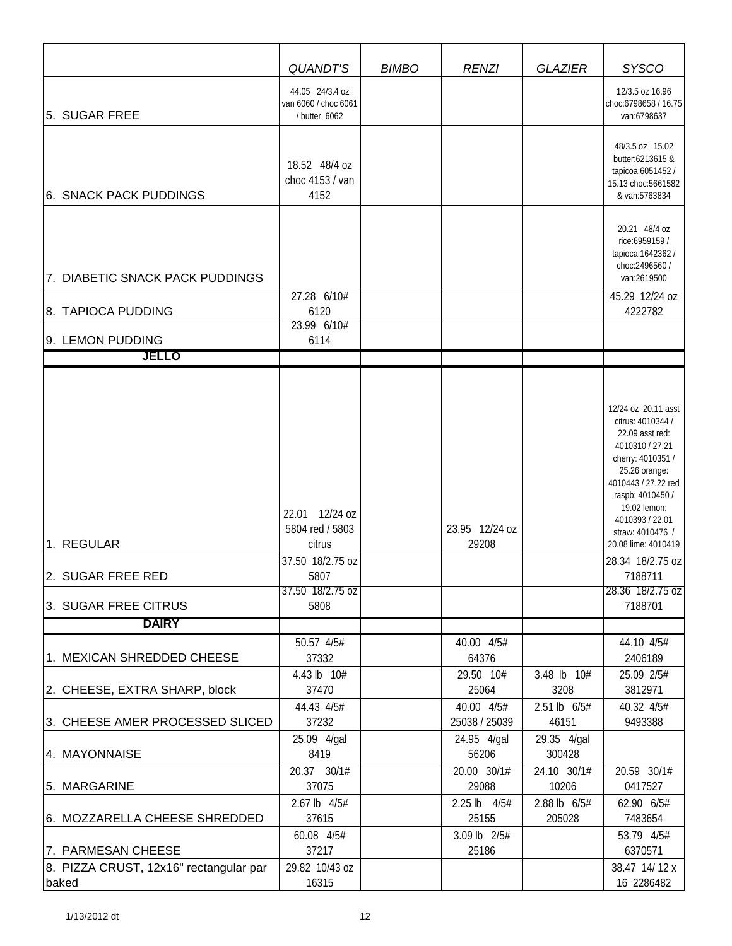|                                                                         | <b>QUANDT'S</b>                                                                                     | <b>BIMBO</b> | <b>RENZI</b>                          | <b>GLAZIER</b>                      | <b>SYSCO</b>                                                                                                                                                                                                                                                                                                |
|-------------------------------------------------------------------------|-----------------------------------------------------------------------------------------------------|--------------|---------------------------------------|-------------------------------------|-------------------------------------------------------------------------------------------------------------------------------------------------------------------------------------------------------------------------------------------------------------------------------------------------------------|
| 5. SUGAR FREE                                                           | 44.05 24/3.4 oz<br>van 6060 / choc 6061<br>/ butter 6062                                            |              |                                       |                                     | 12/3.5 oz 16.96<br>choc:6798658 / 16.75<br>van:6798637                                                                                                                                                                                                                                                      |
| 6. SNACK PACK PUDDINGS                                                  | 18.52 48/4 oz<br>choc 4153 / van<br>4152                                                            |              |                                       |                                     | 48/3.5 oz 15.02<br>butter:6213615 &<br>tapicoa:6051452 /<br>15.13 choc:5661582<br>& van:5763834                                                                                                                                                                                                             |
| 7. DIABETIC SNACK PACK PUDDINGS                                         |                                                                                                     |              |                                       |                                     | 20.21 48/4 oz<br>rice:6959159 /<br>tapioca: 1642362/<br>choc:2496560 /                                                                                                                                                                                                                                      |
|                                                                         | 27.28 6/10#                                                                                         |              |                                       |                                     | van:2619500<br>45.29 12/24 oz                                                                                                                                                                                                                                                                               |
| 8. TAPIOCA PUDDING                                                      | 6120                                                                                                |              |                                       |                                     | 4222782                                                                                                                                                                                                                                                                                                     |
|                                                                         | 23.99 6/10#                                                                                         |              |                                       |                                     |                                                                                                                                                                                                                                                                                                             |
| 9. LEMON PUDDING<br><b>JELLO</b>                                        | 6114                                                                                                |              |                                       |                                     |                                                                                                                                                                                                                                                                                                             |
|                                                                         |                                                                                                     |              |                                       |                                     |                                                                                                                                                                                                                                                                                                             |
| 1. REGULAR<br>2. SUGAR FREE RED<br>3. SUGAR FREE CITRUS<br><b>DAIRY</b> | 22.01 12/24 oz<br>5804 red / 5803<br>citrus<br>37.50 18/2.75 oz<br>5807<br>37.50 18/2.75 oz<br>5808 |              | 23.95 12/24 oz<br>29208               |                                     | 12/24 oz 20.11 asst<br>citrus: 4010344 /<br>22.09 asst red:<br>4010310 / 27.21<br>cherry: 4010351 /<br>25.26 orange:<br>4010443 / 27.22 red<br>raspb: 4010450 /<br>19.02 lemon:<br>4010393 / 22.01<br>straw: 4010476 /<br>20.08 lime: 4010419<br>28.34 18/2.75 oz<br>7188711<br>28.36 18/2.75 oz<br>7188701 |
|                                                                         | 50.57 4/5#                                                                                          |              | 40.00 4/5#                            |                                     | 44.10 4/5#                                                                                                                                                                                                                                                                                                  |
| 1. MEXICAN SHREDDED CHEESE                                              | 37332                                                                                               |              | 64376                                 |                                     | 2406189                                                                                                                                                                                                                                                                                                     |
| 2. CHEESE, EXTRA SHARP, block                                           | 4.43 lb 10#<br>37470<br>44.43 4/5#                                                                  |              | 29.50 10#<br>25064<br>40.00 4/5#      | 3.48 lb 10#<br>3208<br>2.51 lb 6/5# | 25.09 2/5#<br>3812971<br>40.32 4/5#                                                                                                                                                                                                                                                                         |
| 3. CHEESE AMER PROCESSED SLICED                                         | 37232                                                                                               |              | 25038 / 25039                         | 46151                               | 9493388                                                                                                                                                                                                                                                                                                     |
| 4. MAYONNAISE                                                           | 25.09 4/gal<br>8419                                                                                 |              | 24.95 4/gal<br>56206                  | 29.35 4/gal<br>300428               |                                                                                                                                                                                                                                                                                                             |
| 5. MARGARINE                                                            | 20.37 30/1#<br>37075                                                                                |              | 20.00 30/1#<br>29088                  | 24.10 30/1#<br>10206                | 20.59 30/1#<br>0417527                                                                                                                                                                                                                                                                                      |
| 6. MOZZARELLA CHEESE SHREDDED                                           | 2.67 lb 4/5#<br>37615<br>60.08 4/5#                                                                 |              | 2.25 lb 4/5#<br>25155<br>3.09 lb 2/5# | 2.88 lb 6/5#<br>205028              | 62.90 6/5#<br>7483654<br>53.79 4/5#                                                                                                                                                                                                                                                                         |
| 7. PARMESAN CHEESE                                                      | 37217                                                                                               |              | 25186                                 |                                     | 6370571                                                                                                                                                                                                                                                                                                     |
| 8. PIZZA CRUST, 12x16" rectangular par<br>baked                         | 29.82 10/43 oz<br>16315                                                                             |              |                                       |                                     | 38.47 14/12 x<br>16 2286482                                                                                                                                                                                                                                                                                 |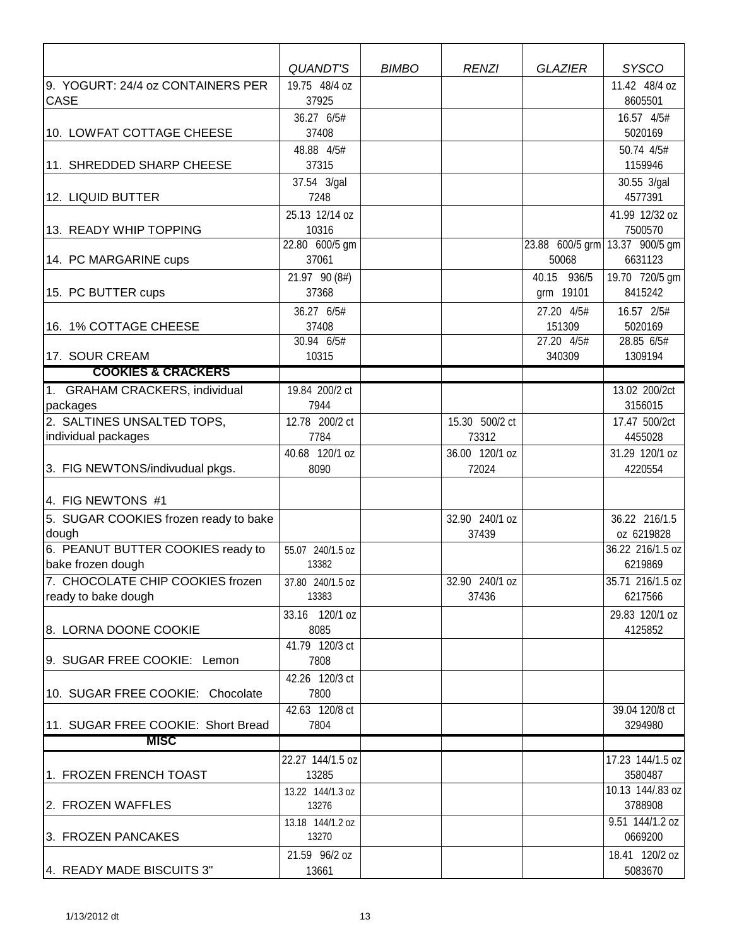|                                       | QUANDT'S                  | <b>BIMBO</b> | <b>RENZI</b>   | <b>GLAZIER</b>           | <b>SYSCO</b>                              |
|---------------------------------------|---------------------------|--------------|----------------|--------------------------|-------------------------------------------|
| 9. YOGURT: 24/4 oz CONTAINERS PER     | 19.75 48/4 oz             |              |                |                          | 11.42 48/4 oz                             |
| <b>CASE</b>                           | 37925                     |              |                |                          | 8605501                                   |
|                                       | 36.27 6/5#                |              |                |                          | 16.57 4/5#                                |
| 10. LOWFAT COTTAGE CHEESE             | 37408                     |              |                |                          | 5020169                                   |
|                                       | 48.88 4/5#                |              |                |                          | 50.74 4/5#                                |
| 11. SHREDDED SHARP CHEESE             | 37315                     |              |                |                          | 1159946                                   |
|                                       | 37.54 3/gal               |              |                |                          | 30.55 3/gal                               |
| 12. LIQUID BUTTER                     | 7248                      |              |                |                          | 4577391                                   |
|                                       | 25.13 12/14 oz            |              |                |                          | 41.99 12/32 oz                            |
| 13. READY WHIP TOPPING                | 10316                     |              |                |                          | 7500570                                   |
|                                       | 22.80 600/5 gm<br>37061   |              |                | 50068                    | 23.88 600/5 grm 13.37 900/5 gm<br>6631123 |
| 14. PC MARGARINE cups                 |                           |              |                |                          |                                           |
| 15. PC BUTTER cups                    | 21.97 90 (8#)<br>37368    |              |                | 40.15 936/5<br>grm 19101 | 19.70 720/5 gm<br>8415242                 |
|                                       |                           |              |                |                          |                                           |
| 16. 1% COTTAGE CHEESE                 | 36.27 6/5#<br>37408       |              |                | 27.20 4/5#<br>151309     | 16.57 2/5#<br>5020169                     |
|                                       | 30.94 6/5#                |              |                | 27.20 4/5#               | $28.85$ 6/5#                              |
| 17. SOUR CREAM                        | 10315                     |              |                | 340309                   | 1309194                                   |
| <b>COOKIES &amp; CRACKERS</b>         |                           |              |                |                          |                                           |
| 1. GRAHAM CRACKERS, individual        | 19.84 200/2 ct            |              |                |                          | 13.02 200/2ct                             |
| packages                              | 7944                      |              |                |                          | 3156015                                   |
| 2. SALTINES UNSALTED TOPS,            | 12.78 200/2 ct            |              | 15.30 500/2 ct |                          | 17.47 500/2ct                             |
| individual packages                   | 7784                      |              | 73312          |                          | 4455028                                   |
|                                       | 40.68 120/1 oz            |              | 36.00 120/1 oz |                          | 31.29 120/1 oz                            |
| 3. FIG NEWTONS/indivudual pkgs.       | 8090                      |              | 72024          |                          | 4220554                                   |
| 4. FIG NEWTONS #1                     |                           |              |                |                          |                                           |
| 5. SUGAR COOKIES frozen ready to bake |                           |              | 32.90 240/1 oz |                          | 36.22 216/1.5                             |
| dough                                 |                           |              | 37439          |                          | oz 6219828                                |
| 6. PEANUT BUTTER COOKIES ready to     | 55.07 240/1.5 oz          |              |                |                          | 36.22 216/1.5 oz                          |
| bake frozen dough                     | 13382                     |              |                |                          | 6219869                                   |
| 7. CHOCOLATE CHIP COOKIES frozen      | 37.80 240/1.5 oz          |              | 32.90 240/1 oz |                          | 35.71 216/1.5 oz                          |
| ready to bake dough                   | 13383                     |              | 37436          |                          | 6217566                                   |
|                                       | 33.16 120/1 oz            |              |                |                          | 29.83 120/1 oz                            |
| 8. LORNA DOONE COOKIE                 | 8085                      |              |                |                          | 4125852                                   |
|                                       | 41.79 120/3 ct            |              |                |                          |                                           |
| 9. SUGAR FREE COOKIE: Lemon           | 7808                      |              |                |                          |                                           |
|                                       | 42.26 120/3 ct            |              |                |                          |                                           |
| 10. SUGAR FREE COOKIE: Chocolate      | 7800                      |              |                |                          |                                           |
|                                       | 42.63 120/8 ct            |              |                |                          | 39.04 120/8 ct                            |
| 11. SUGAR FREE COOKIE: Short Bread    | 7804                      |              |                |                          | 3294980                                   |
| <b>MISC</b>                           |                           |              |                |                          |                                           |
|                                       | 22.27 144/1.5 oz          |              |                |                          | 17.23 144/1.5 oz                          |
| 1. FROZEN FRENCH TOAST                | 13285                     |              |                |                          | 3580487                                   |
| 2. FROZEN WAFFLES                     | 13.22 144/1.3 oz<br>13276 |              |                |                          | 10.13 144/.83 oz<br>3788908               |
|                                       | 13.18 144/1.2 oz          |              |                |                          | 9.51 144/1.2 oz                           |
| 3. FROZEN PANCAKES                    | 13270                     |              |                |                          | 0669200                                   |
|                                       | 21.59 96/2 oz             |              |                |                          | 18.41 120/2 oz                            |
| 4. READY MADE BISCUITS 3"             | 13661                     |              |                |                          | 5083670                                   |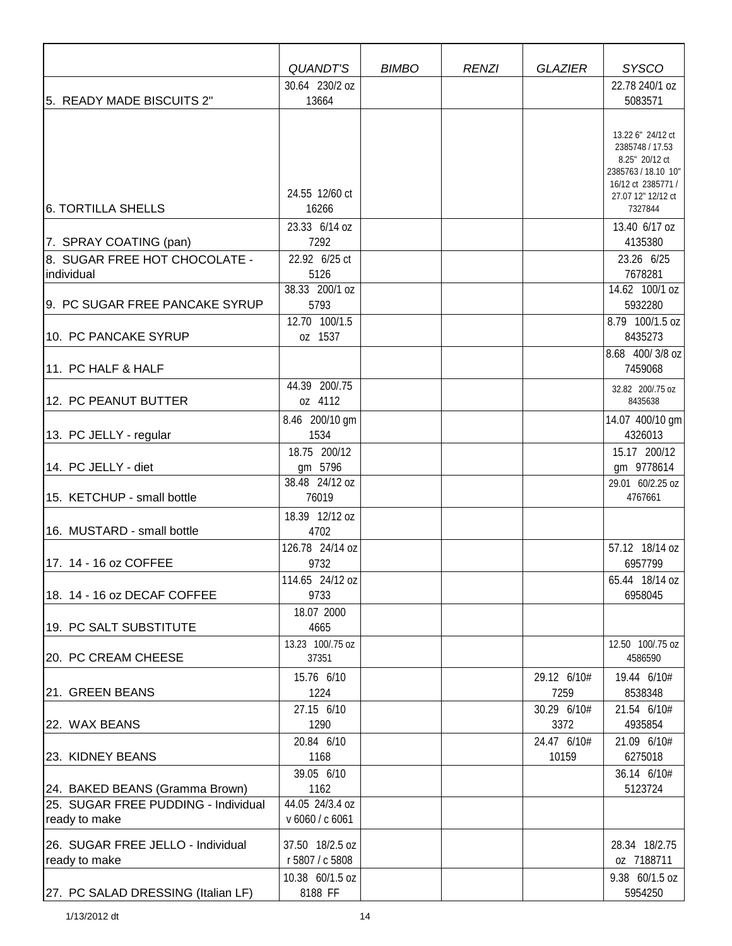|                                     | <b>QUANDT'S</b>           | <b>BIMBO</b> | <b>RENZI</b> | <b>GLAZIER</b>      | <b>SYSCO</b>                          |
|-------------------------------------|---------------------------|--------------|--------------|---------------------|---------------------------------------|
|                                     | 30.64 230/2 oz            |              |              |                     | 22.78 240/1 oz                        |
| 5. READY MADE BISCUITS 2"           | 13664                     |              |              |                     | 5083571                               |
|                                     |                           |              |              |                     |                                       |
|                                     |                           |              |              |                     | 13.22 6" 24/12 ct                     |
|                                     |                           |              |              |                     | 2385748 / 17.53                       |
|                                     |                           |              |              |                     | 8.25" 20/12 ct<br>2385763 / 18.10 10" |
|                                     |                           |              |              |                     | 16/12 ct 2385771 /                    |
|                                     | 24.55 12/60 ct            |              |              |                     | 27.07 12" 12/12 ct                    |
| <b>6. TORTILLA SHELLS</b>           | 16266                     |              |              |                     | 7327844                               |
|                                     | 23.33 6/14 oz             |              |              |                     | 13.40 6/17 oz                         |
| 7. SPRAY COATING (pan)              | 7292                      |              |              |                     | 4135380                               |
| 8. SUGAR FREE HOT CHOCOLATE -       | 22.92 6/25 ct             |              |              |                     | 23.26 6/25                            |
| individual                          | 5126                      |              |              |                     | 7678281                               |
|                                     | 38.33 200/1 oz            |              |              |                     | 14.62 100/1 oz                        |
| 9. PC SUGAR FREE PANCAKE SYRUP      | 5793                      |              |              |                     | 5932280                               |
| 10. PC PANCAKE SYRUP                | 12.70 100/1.5<br>oz 1537  |              |              |                     | 8.79 100/1.5 oz<br>8435273            |
|                                     |                           |              |              |                     | 8.68 400/3/8 oz                       |
| 11. PC HALF & HALF                  |                           |              |              |                     | 7459068                               |
|                                     | 44.39 200/.75             |              |              |                     |                                       |
| 12. PC PEANUT BUTTER                | oz 4112                   |              |              |                     | 32.82 200/.75 oz<br>8435638           |
|                                     | 8.46 200/10 gm            |              |              |                     | 14.07 400/10 gm                       |
| 13. PC JELLY - regular              | 1534                      |              |              |                     | 4326013                               |
|                                     | 18.75 200/12              |              |              |                     | 15.17 200/12                          |
| 14. PC JELLY - diet                 | gm 5796                   |              |              |                     | gm 9778614                            |
|                                     | 38.48 24/12 oz            |              |              |                     | 29.01 60/2.25 oz                      |
| 15. KETCHUP - small bottle          | 76019                     |              |              |                     | 4767661                               |
|                                     | 18.39 12/12 oz            |              |              |                     |                                       |
| 16. MUSTARD - small bottle          | 4702                      |              |              |                     |                                       |
|                                     | 126.78 24/14 oz           |              |              |                     | 57.12 18/14 oz                        |
| 17. 14 - 16 oz COFFEE               | 9732                      |              |              |                     | 6957799                               |
|                                     | 114.65 24/12 oz           |              |              |                     | 65.44 18/14 oz                        |
| 18. 14 - 16 oz DECAF COFFEE         | 9733                      |              |              |                     | 6958045                               |
|                                     | 18.07 2000                |              |              |                     |                                       |
| 19. PC SALT SUBSTITUTE              | 4665                      |              |              |                     |                                       |
| 20. PC CREAM CHEESE                 | 13.23 100/.75 oz<br>37351 |              |              |                     | 12.50 100/.75 oz<br>4586590           |
|                                     |                           |              |              |                     |                                       |
|                                     | 15.76 6/10                |              |              | 29.12 6/10#         | 19.44 6/10#                           |
| 21. GREEN BEANS                     | 1224<br>27.15 6/10        |              |              | 7259<br>30.29 6/10# | 8538348                               |
| 22. WAX BEANS                       | 1290                      |              |              | 3372                | 21.54 6/10#<br>4935854                |
|                                     | 20.84 6/10                |              |              | 24.47 6/10#         | 21.09 6/10#                           |
| 23. KIDNEY BEANS                    | 1168                      |              |              | 10159               | 6275018                               |
|                                     | 39.05 6/10                |              |              |                     | 36.14 6/10#                           |
| 24. BAKED BEANS (Gramma Brown)      | 1162                      |              |              |                     | 5123724                               |
| 25. SUGAR FREE PUDDING - Individual | 44.05 24/3.4 oz           |              |              |                     |                                       |
| ready to make                       | v 6060 / c 6061           |              |              |                     |                                       |
| 26. SUGAR FREE JELLO - Individual   | 37.50 18/2.5 oz           |              |              |                     | 28.34 18/2.75                         |
| ready to make                       | r 5807 / c 5808           |              |              |                     | oz 7188711                            |
|                                     | 10.38 60/1.5 oz           |              |              |                     | 9.38 60/1.5 oz                        |
| [27. PC SALAD DRESSING (Italian LF) | 8188 FF                   |              |              |                     | 5954250                               |